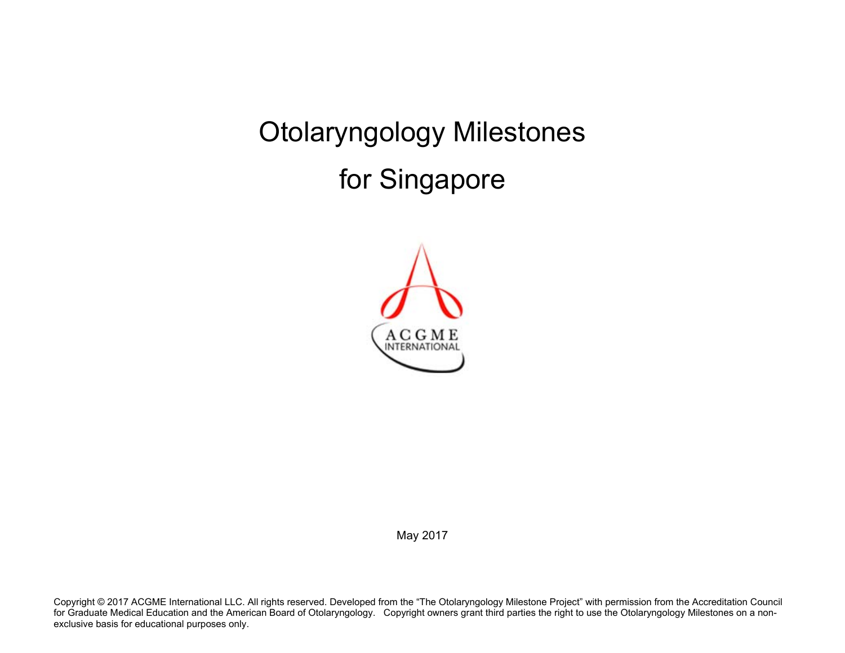Otolaryngology Milestones for Singapore



May 2017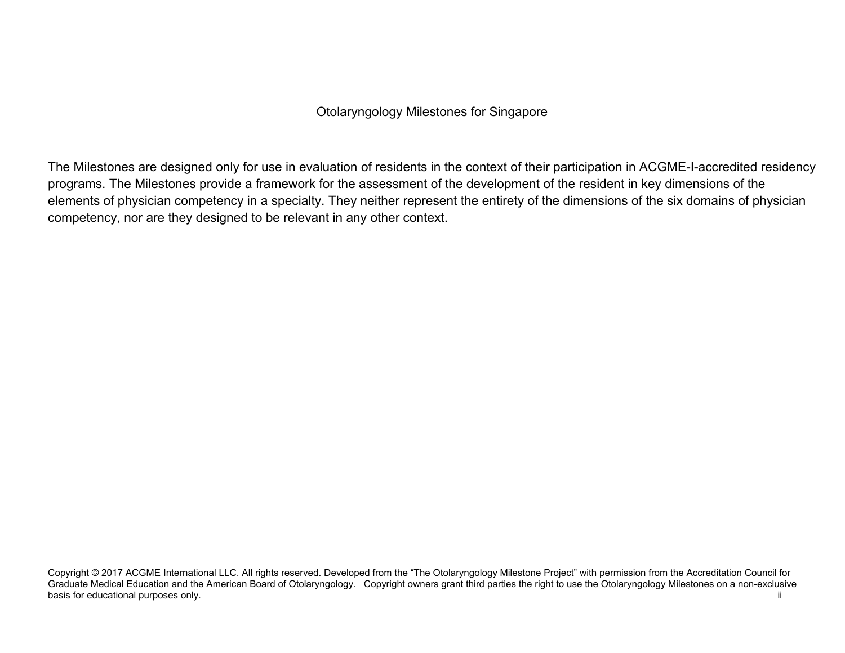Otolaryngology Milestones for Singapore

The Milestones are designed only for use in evaluation of residents in the context of their participation in ACGME-I-accredited residency programs. The Milestones provide a framework for the assessment of the development of the resident in key dimensions of the elements of physician competency in a specialty. They neither represent the entirety of the dimensions of the six domains of physician competency, nor are they designed to be relevant in any other context.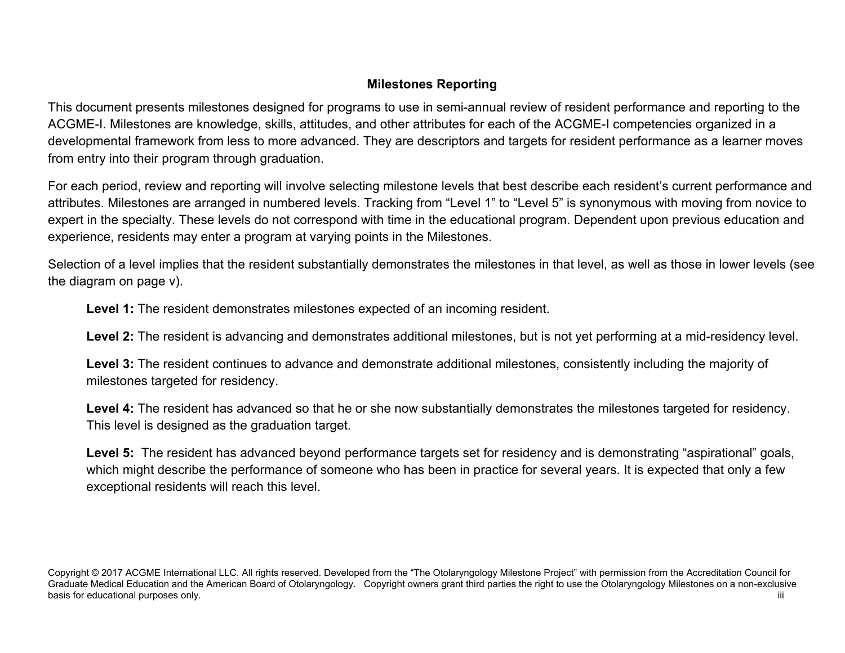## **Milestones Reporting**

This document presents milestones designed for programs to use in semi-annual review of resident performance and reporting to the ACGME-I. Milestones are knowledge, skills, attitudes, and other attributes for each of the ACGME-I competencies organized in a developmental framework from less to more advanced. They are descriptors and targets for resident performance as a learner moves from entry into their program through graduation.

For each period, review and reporting will involve selecting milestone levels that best describe each resident's current performance and attributes. Milestones are arranged in numbered levels. Tracking from "Level 1" to "Level 5" is synonymous with moving from novice to expert in the specialty. These levels do not correspond with time in the educational program. Dependent upon previous education and experience, residents may enter a program at varying points in the Milestones.

Selection of a level implies that the resident substantially demonstrates the milestones in that level, as well as those in lower levels (see the diagram on page v).

**Level 1:** The resident demonstrates milestones expected of an incoming resident.

**Level 2:** The resident is advancing and demonstrates additional milestones, but is not yet performing at a mid-residency level.

**Level 3:** The resident continues to advance and demonstrate additional milestones, consistently including the majority of milestones targeted for residency.

**Level 4:** The resident has advanced so that he or she now substantially demonstrates the milestones targeted for residency. This level is designed as the graduation target.

Level 5: The resident has advanced beyond performance targets set for residency and is demonstrating "aspirational" goals, which might describe the performance of someone who has been in practice for several years. It is expected that only a few exceptional residents will reach this level.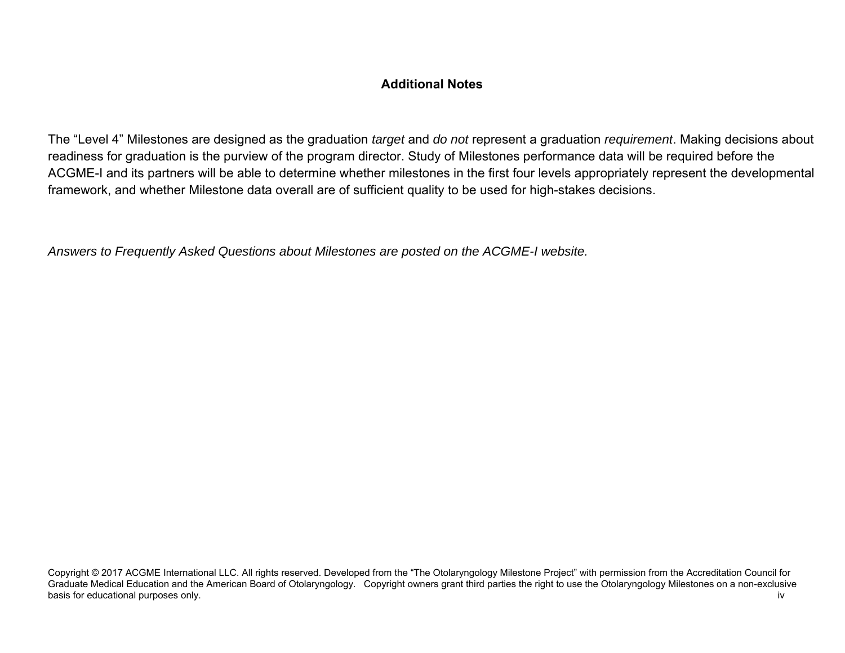## **Additional Notes**

The "Level 4" Milestones are designed as the graduation *target* and *do not* represent a graduation *requirement*. Making decisions about readiness for graduation is the purview of the program director. Study of Milestones performance data will be required before the ACGME-I and its partners will be able to determine whether milestones in the first four levels appropriately represent the developmental framework, and whether Milestone data overall are of sufficient quality to be used for high-stakes decisions.

*Answers to Frequently Asked Questions about Milestones are posted on the ACGME-I website.*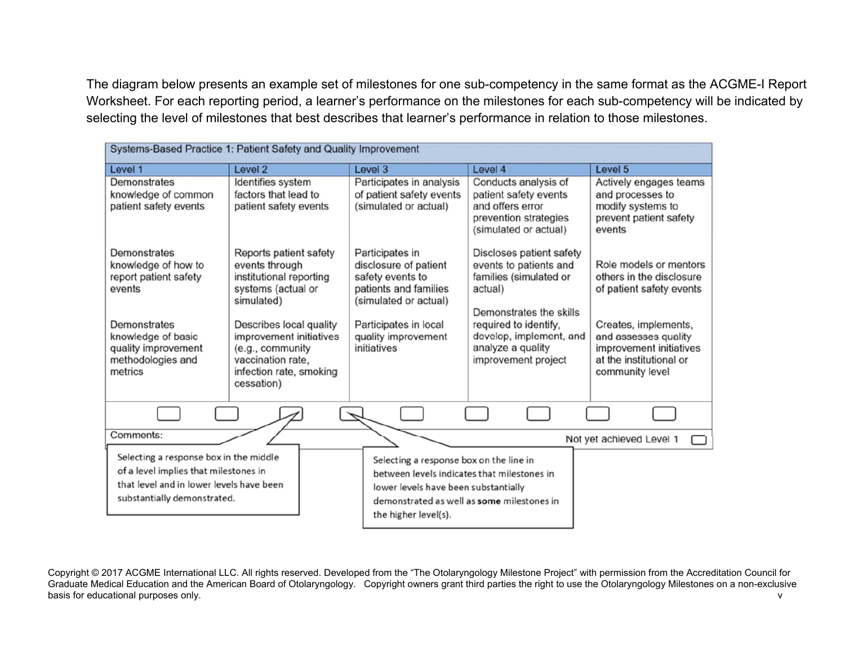The diagram below presents an example set of milestones for one sub-competency in the same format as the ACGME-I Report Worksheet. For each reporting period, a learner's performance on the milestones for each sub-competency will be indicated by selecting the level of milestones that best describes that learner's performance in relation to those milestones.

| Systems-Based Practice 1: Patient Safety and Quality Improvement                                                                                           |                                                                                                                                                                                   |                                                                                                                                                                                                      |                                                                                                                                                                                             |                                                                                                                                                                                      |
|------------------------------------------------------------------------------------------------------------------------------------------------------------|-----------------------------------------------------------------------------------------------------------------------------------------------------------------------------------|------------------------------------------------------------------------------------------------------------------------------------------------------------------------------------------------------|---------------------------------------------------------------------------------------------------------------------------------------------------------------------------------------------|--------------------------------------------------------------------------------------------------------------------------------------------------------------------------------------|
| Level 1                                                                                                                                                    | Level <sub>2</sub>                                                                                                                                                                | Level 3                                                                                                                                                                                              | Level 4                                                                                                                                                                                     | Level 5                                                                                                                                                                              |
| Demonstrates<br>knowledge of common<br>patient safety events                                                                                               | Identifies system<br>factors that lead to<br>patient safety events                                                                                                                | Participates in analysis<br>of patient safety events<br>(simulated or actual)                                                                                                                        | Conducts analysis of<br>patient safety events<br>and offers error<br>prevention strategies<br>(simulated or actual)                                                                         | Actively engages teams<br>and processes to<br>modify systems to<br>prevent patient safety<br>events                                                                                  |
| Demonstrates<br>knowledge of how to<br>report patient safety<br>events<br>Demonstrates<br>knowledge of basic<br>quality improvement                        | Reports patient safety<br>events through<br>institutional reporting<br>systems (actual or<br>simulated)<br>Describes local quality<br>improvement initiatives<br>(e.g., community | Participates in<br>disclosure of patient<br>safety events to<br>patients and families<br>(simulated or actual)<br>Participates in local<br>quality improvement<br>initiatives                        | Discloses patient safety<br>events to patients and<br>families (simulated or<br>actual)<br>Demonstrates the skills<br>required to identify,<br>develop, implement, and<br>analyze a quality | Role models or mentors<br>others in the disclosure<br>of patient safety events<br>Creates, implements,<br>and assesses quality<br>improvement initiatives<br>at the institutional or |
| methodologies and<br>metrics                                                                                                                               | vaccination rate.<br>infection rate, smoking<br>cessation)                                                                                                                        |                                                                                                                                                                                                      | improvement project                                                                                                                                                                         | community level                                                                                                                                                                      |
|                                                                                                                                                            |                                                                                                                                                                                   |                                                                                                                                                                                                      |                                                                                                                                                                                             |                                                                                                                                                                                      |
| Comments:                                                                                                                                                  |                                                                                                                                                                                   |                                                                                                                                                                                                      |                                                                                                                                                                                             | Not yet achieved Level 1                                                                                                                                                             |
| Selecting a response box in the middle<br>of a level implies that milestones in<br>that level and in lower levels have been<br>substantially demonstrated. |                                                                                                                                                                                   | Selecting a response box on the line in<br>between levels indicates that milestones in<br>lower levels have been substantially<br>demonstrated as well as some milestones in<br>the higher level(s). |                                                                                                                                                                                             |                                                                                                                                                                                      |

Copyright © 2017 ACGME International LLC. All rights reserved. Developed from the "The Otolaryngology Milestone Project" with permission from the Accreditation Council for Graduate Medical Education and the American Board of Otolaryngology. Copyright owners grant third parties the right to use the Otolaryngology Milestones on a non-exclusive basis for educational purposes only. view of the contract of the contract of the contract of the contract of the contract of the contract of the contract of the contract of the contract of the contract of the contract of t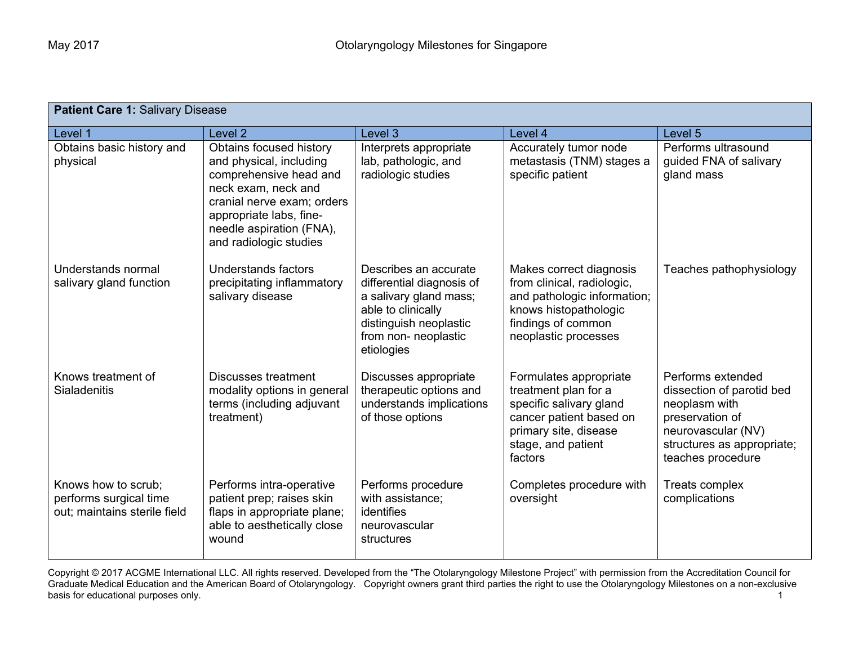| <b>Patient Care 1: Salivary Disease</b>                                       |                                                                                                                                                                                                                    |                                                                                                                                                                    |                                                                                                                                                                |                                                                                                                                                             |  |
|-------------------------------------------------------------------------------|--------------------------------------------------------------------------------------------------------------------------------------------------------------------------------------------------------------------|--------------------------------------------------------------------------------------------------------------------------------------------------------------------|----------------------------------------------------------------------------------------------------------------------------------------------------------------|-------------------------------------------------------------------------------------------------------------------------------------------------------------|--|
| Level 1                                                                       | Level <sub>2</sub>                                                                                                                                                                                                 | Level 3                                                                                                                                                            | Level 4                                                                                                                                                        | Level 5                                                                                                                                                     |  |
| Obtains basic history and<br>physical                                         | Obtains focused history<br>and physical, including<br>comprehensive head and<br>neck exam, neck and<br>cranial nerve exam; orders<br>appropriate labs, fine-<br>needle aspiration (FNA),<br>and radiologic studies | Interprets appropriate<br>lab, pathologic, and<br>radiologic studies                                                                                               | Accurately tumor node<br>metastasis (TNM) stages a<br>specific patient                                                                                         | Performs ultrasound<br>guided FNA of salivary<br>gland mass                                                                                                 |  |
| Understands normal<br>salivary gland function                                 | Understands factors<br>precipitating inflammatory<br>salivary disease                                                                                                                                              | Describes an accurate<br>differential diagnosis of<br>a salivary gland mass;<br>able to clinically<br>distinguish neoplastic<br>from non- neoplastic<br>etiologies | Makes correct diagnosis<br>from clinical, radiologic,<br>and pathologic information;<br>knows histopathologic<br>findings of common<br>neoplastic processes    | Teaches pathophysiology                                                                                                                                     |  |
| Knows treatment of<br><b>Sialadenitis</b>                                     | <b>Discusses treatment</b><br>modality options in general<br>terms (including adjuvant<br>treatment)                                                                                                               | Discusses appropriate<br>therapeutic options and<br>understands implications<br>of those options                                                                   | Formulates appropriate<br>treatment plan for a<br>specific salivary gland<br>cancer patient based on<br>primary site, disease<br>stage, and patient<br>factors | Performs extended<br>dissection of parotid bed<br>neoplasm with<br>preservation of<br>neurovascular (NV)<br>structures as appropriate;<br>teaches procedure |  |
| Knows how to scrub;<br>performs surgical time<br>out; maintains sterile field | Performs intra-operative<br>patient prep; raises skin<br>flaps in appropriate plane;<br>able to aesthetically close<br>wound                                                                                       | Performs procedure<br>with assistance;<br>identifies<br>neurovascular<br>structures                                                                                | Completes procedure with<br>oversight                                                                                                                          | Treats complex<br>complications                                                                                                                             |  |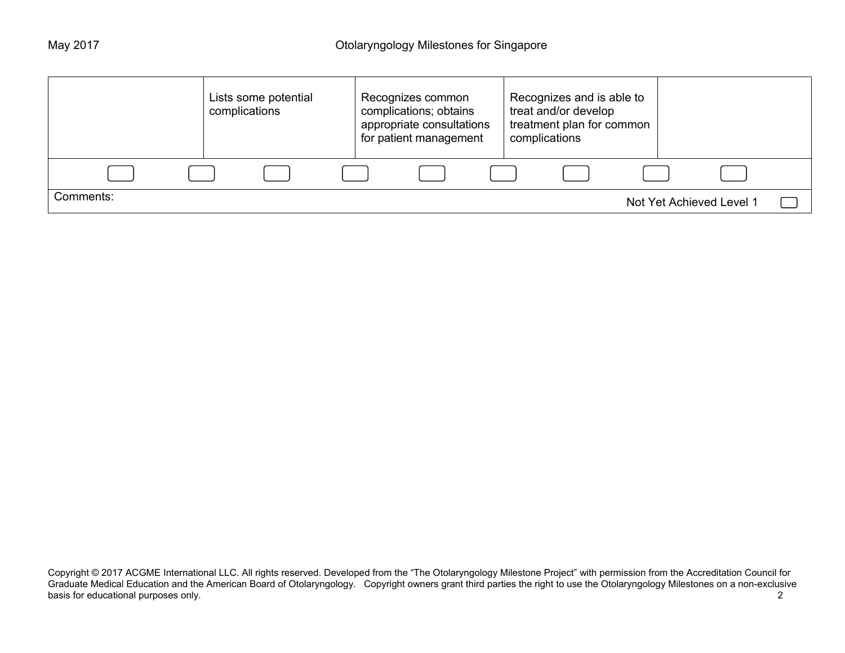|           | Lists some potential<br>complications | Recognizes common<br>complications; obtains<br>appropriate consultations<br>for patient management | Recognizes and is able to<br>treat and/or develop<br>treatment plan for common<br>complications |                          |
|-----------|---------------------------------------|----------------------------------------------------------------------------------------------------|-------------------------------------------------------------------------------------------------|--------------------------|
|           |                                       |                                                                                                    |                                                                                                 |                          |
| Comments: |                                       |                                                                                                    |                                                                                                 | Not Yet Achieved Level 1 |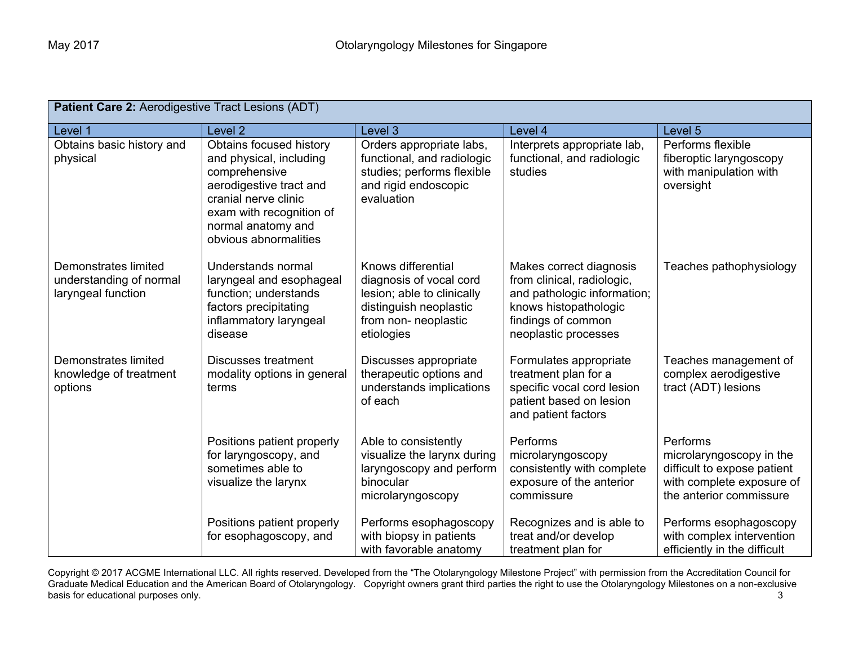| Patient Care 2: Aerodigestive Tract Lesions (ADT)                     |                                                                                                                                                                                                   |                                                                                                                                             |                                                                                                                                                             |                                                                                                                             |
|-----------------------------------------------------------------------|---------------------------------------------------------------------------------------------------------------------------------------------------------------------------------------------------|---------------------------------------------------------------------------------------------------------------------------------------------|-------------------------------------------------------------------------------------------------------------------------------------------------------------|-----------------------------------------------------------------------------------------------------------------------------|
| Level 1                                                               | Level <sub>2</sub>                                                                                                                                                                                | Level 3                                                                                                                                     | Level 4                                                                                                                                                     | Level 5                                                                                                                     |
| Obtains basic history and<br>physical                                 | Obtains focused history<br>and physical, including<br>comprehensive<br>aerodigestive tract and<br>cranial nerve clinic<br>exam with recognition of<br>normal anatomy and<br>obvious abnormalities | Orders appropriate labs,<br>functional, and radiologic<br>studies; performs flexible<br>and rigid endoscopic<br>evaluation                  | Interprets appropriate lab,<br>functional, and radiologic<br>studies                                                                                        | Performs flexible<br>fiberoptic laryngoscopy<br>with manipulation with<br>oversight                                         |
| Demonstrates limited<br>understanding of normal<br>laryngeal function | Understands normal<br>laryngeal and esophageal<br>function; understands<br>factors precipitating<br>inflammatory laryngeal<br>disease                                                             | Knows differential<br>diagnosis of vocal cord<br>lesion; able to clinically<br>distinguish neoplastic<br>from non- neoplastic<br>etiologies | Makes correct diagnosis<br>from clinical, radiologic,<br>and pathologic information;<br>knows histopathologic<br>findings of common<br>neoplastic processes | Teaches pathophysiology                                                                                                     |
| <b>Demonstrates limited</b><br>knowledge of treatment<br>options      | <b>Discusses treatment</b><br>modality options in general<br>terms                                                                                                                                | Discusses appropriate<br>therapeutic options and<br>understands implications<br>of each                                                     | Formulates appropriate<br>treatment plan for a<br>specific vocal cord lesion<br>patient based on lesion<br>and patient factors                              | Teaches management of<br>complex aerodigestive<br>tract (ADT) lesions                                                       |
|                                                                       | Positions patient properly<br>for laryngoscopy, and<br>sometimes able to<br>visualize the larynx                                                                                                  | Able to consistently<br>visualize the larynx during<br>laryngoscopy and perform<br>binocular<br>microlaryngoscopy                           | <b>Performs</b><br>microlaryngoscopy<br>consistently with complete<br>exposure of the anterior<br>commissure                                                | Performs<br>microlaryngoscopy in the<br>difficult to expose patient<br>with complete exposure of<br>the anterior commissure |
|                                                                       | Positions patient properly<br>for esophagoscopy, and                                                                                                                                              | Performs esophagoscopy<br>with biopsy in patients<br>with favorable anatomy                                                                 | Recognizes and is able to<br>treat and/or develop<br>treatment plan for                                                                                     | Performs esophagoscopy<br>with complex intervention<br>efficiently in the difficult                                         |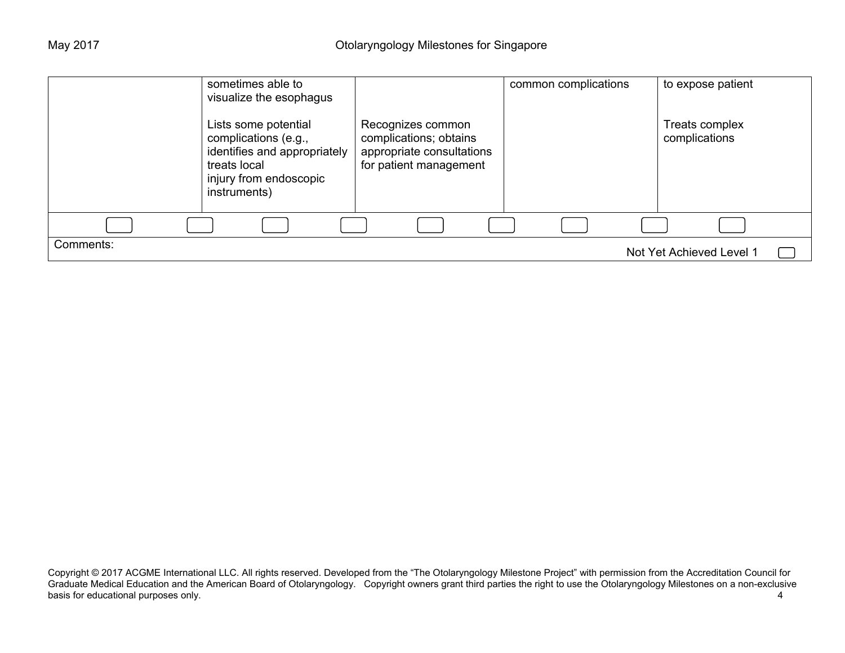|           | sometimes able to<br>visualize the esophagus                                                                                           |                                                                                                    | common complications | to expose patient               |
|-----------|----------------------------------------------------------------------------------------------------------------------------------------|----------------------------------------------------------------------------------------------------|----------------------|---------------------------------|
|           | Lists some potential<br>complications (e.g.,<br>identifies and appropriately<br>treats local<br>injury from endoscopic<br>instruments) | Recognizes common<br>complications; obtains<br>appropriate consultations<br>for patient management |                      | Treats complex<br>complications |
|           |                                                                                                                                        |                                                                                                    |                      |                                 |
| Comments: |                                                                                                                                        |                                                                                                    |                      | Not Yet Achieved Level 1        |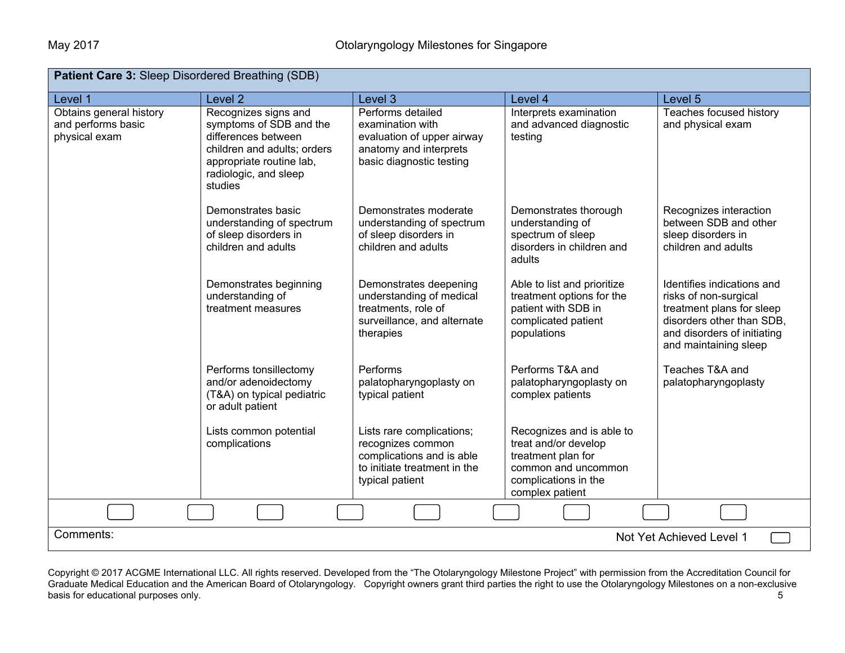| <b>Patient Care 3: Sleep Disordered Breathing (SDB)</b>        |                                                                                                                                                                       |                                                                                                                                |                                                                                                                                           |                                                                                                                                                                       |  |
|----------------------------------------------------------------|-----------------------------------------------------------------------------------------------------------------------------------------------------------------------|--------------------------------------------------------------------------------------------------------------------------------|-------------------------------------------------------------------------------------------------------------------------------------------|-----------------------------------------------------------------------------------------------------------------------------------------------------------------------|--|
| Level 1                                                        | Level <sub>2</sub>                                                                                                                                                    | Level 3                                                                                                                        | Level 4                                                                                                                                   | Level 5                                                                                                                                                               |  |
| Obtains general history<br>and performs basic<br>physical exam | Recognizes signs and<br>symptoms of SDB and the<br>differences between<br>children and adults; orders<br>appropriate routine lab,<br>radiologic, and sleep<br>studies | Performs detailed<br>examination with<br>evaluation of upper airway<br>anatomy and interprets<br>basic diagnostic testing      | Interprets examination<br>and advanced diagnostic<br>testing                                                                              | Teaches focused history<br>and physical exam                                                                                                                          |  |
|                                                                | Demonstrates basic<br>understanding of spectrum<br>of sleep disorders in<br>children and adults                                                                       | Demonstrates moderate<br>understanding of spectrum<br>of sleep disorders in<br>children and adults                             | Demonstrates thorough<br>understanding of<br>spectrum of sleep<br>disorders in children and<br>adults                                     | Recognizes interaction<br>between SDB and other<br>sleep disorders in<br>children and adults                                                                          |  |
|                                                                | Demonstrates beginning<br>understanding of<br>treatment measures                                                                                                      | Demonstrates deepening<br>understanding of medical<br>treatments, role of<br>surveillance, and alternate<br>therapies          | Able to list and prioritize<br>treatment options for the<br>patient with SDB in<br>complicated patient<br>populations                     | Identifies indications and<br>risks of non-surgical<br>treatment plans for sleep<br>disorders other than SDB,<br>and disorders of initiating<br>and maintaining sleep |  |
|                                                                | Performs tonsillectomy<br>and/or adenoidectomy<br>(T&A) on typical pediatric<br>or adult patient                                                                      | Performs<br>palatopharyngoplasty on<br>typical patient                                                                         | Performs T&A and<br>palatopharyngoplasty on<br>complex patients                                                                           | Teaches T&A and<br>palatopharyngoplasty                                                                                                                               |  |
|                                                                | Lists common potential<br>complications                                                                                                                               | Lists rare complications;<br>recognizes common<br>complications and is able<br>to initiate treatment in the<br>typical patient | Recognizes and is able to<br>treat and/or develop<br>treatment plan for<br>common and uncommon<br>complications in the<br>complex patient |                                                                                                                                                                       |  |
|                                                                |                                                                                                                                                                       |                                                                                                                                |                                                                                                                                           |                                                                                                                                                                       |  |
| Comments:                                                      | Not Yet Achieved Level 1                                                                                                                                              |                                                                                                                                |                                                                                                                                           |                                                                                                                                                                       |  |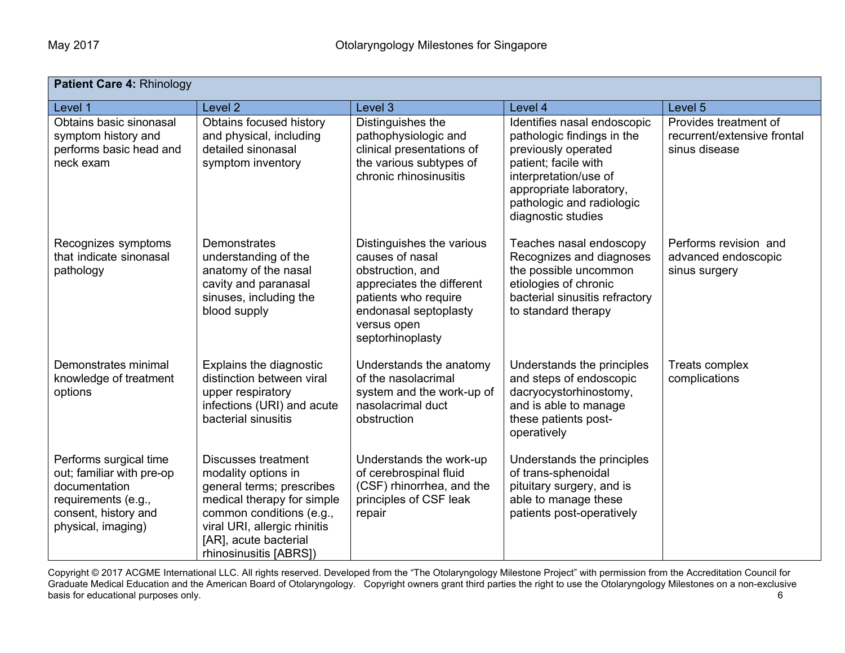| Patient Care 4: Rhinology                                                                                                                 |                                                                                                                                                                                                                             |                                                                                                                                                                                   |                                                                                                                                                                                                                 |                                                                       |
|-------------------------------------------------------------------------------------------------------------------------------------------|-----------------------------------------------------------------------------------------------------------------------------------------------------------------------------------------------------------------------------|-----------------------------------------------------------------------------------------------------------------------------------------------------------------------------------|-----------------------------------------------------------------------------------------------------------------------------------------------------------------------------------------------------------------|-----------------------------------------------------------------------|
| Level 1                                                                                                                                   | Level <sub>2</sub>                                                                                                                                                                                                          | Level 3                                                                                                                                                                           | Level 4                                                                                                                                                                                                         | Level 5                                                               |
| Obtains basic sinonasal<br>symptom history and<br>performs basic head and<br>neck exam                                                    | Obtains focused history<br>and physical, including<br>detailed sinonasal<br>symptom inventory                                                                                                                               | Distinguishes the<br>pathophysiologic and<br>clinical presentations of<br>the various subtypes of<br>chronic rhinosinusitis                                                       | Identifies nasal endoscopic<br>pathologic findings in the<br>previously operated<br>patient; facile with<br>interpretation/use of<br>appropriate laboratory,<br>pathologic and radiologic<br>diagnostic studies | Provides treatment of<br>recurrent/extensive frontal<br>sinus disease |
| Recognizes symptoms<br>that indicate sinonasal<br>pathology                                                                               | <b>Demonstrates</b><br>understanding of the<br>anatomy of the nasal<br>cavity and paranasal<br>sinuses, including the<br>blood supply                                                                                       | Distinguishes the various<br>causes of nasal<br>obstruction, and<br>appreciates the different<br>patients who require<br>endonasal septoplasty<br>versus open<br>septorhinoplasty | Teaches nasal endoscopy<br>Recognizes and diagnoses<br>the possible uncommon<br>etiologies of chronic<br>bacterial sinusitis refractory<br>to standard therapy                                                  | Performs revision and<br>advanced endoscopic<br>sinus surgery         |
| Demonstrates minimal<br>knowledge of treatment<br>options                                                                                 | Explains the diagnostic<br>distinction between viral<br>upper respiratory<br>infections (URI) and acute<br>bacterial sinusitis                                                                                              | Understands the anatomy<br>of the nasolacrimal<br>system and the work-up of<br>nasolacrimal duct<br>obstruction                                                                   | Understands the principles<br>and steps of endoscopic<br>dacryocystorhinostomy,<br>and is able to manage<br>these patients post-<br>operatively                                                                 | Treats complex<br>complications                                       |
| Performs surgical time<br>out; familiar with pre-op<br>documentation<br>requirements (e.g.,<br>consent, history and<br>physical, imaging) | <b>Discusses treatment</b><br>modality options in<br>general terms; prescribes<br>medical therapy for simple<br>common conditions (e.g.,<br>viral URI, allergic rhinitis<br>[AR], acute bacterial<br>rhinosinusitis [ABRS]) | Understands the work-up<br>of cerebrospinal fluid<br>(CSF) rhinorrhea, and the<br>principles of CSF leak<br>repair                                                                | Understands the principles<br>of trans-sphenoidal<br>pituitary surgery, and is<br>able to manage these<br>patients post-operatively                                                                             |                                                                       |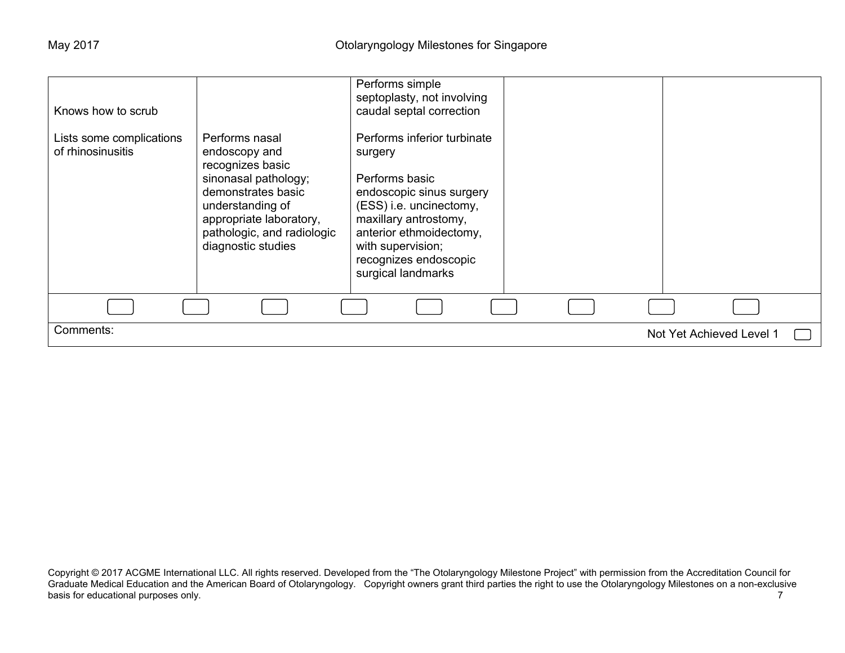| Knows how to scrub                            |                                                                                                                                                                                                      | Performs simple<br>septoplasty, not involving<br>caudal septal correction                                                                                                                                                               |                          |
|-----------------------------------------------|------------------------------------------------------------------------------------------------------------------------------------------------------------------------------------------------------|-----------------------------------------------------------------------------------------------------------------------------------------------------------------------------------------------------------------------------------------|--------------------------|
| Lists some complications<br>of rhinosinusitis | Performs nasal<br>endoscopy and<br>recognizes basic<br>sinonasal pathology;<br>demonstrates basic<br>understanding of<br>appropriate laboratory,<br>pathologic, and radiologic<br>diagnostic studies | Performs inferior turbinate<br>surgery<br>Performs basic<br>endoscopic sinus surgery<br>(ESS) i.e. uncinectomy,<br>maxillary antrostomy,<br>anterior ethmoidectomy,<br>with supervision;<br>recognizes endoscopic<br>surgical landmarks |                          |
|                                               |                                                                                                                                                                                                      |                                                                                                                                                                                                                                         |                          |
| Comments:                                     |                                                                                                                                                                                                      |                                                                                                                                                                                                                                         | Not Yet Achieved Level 1 |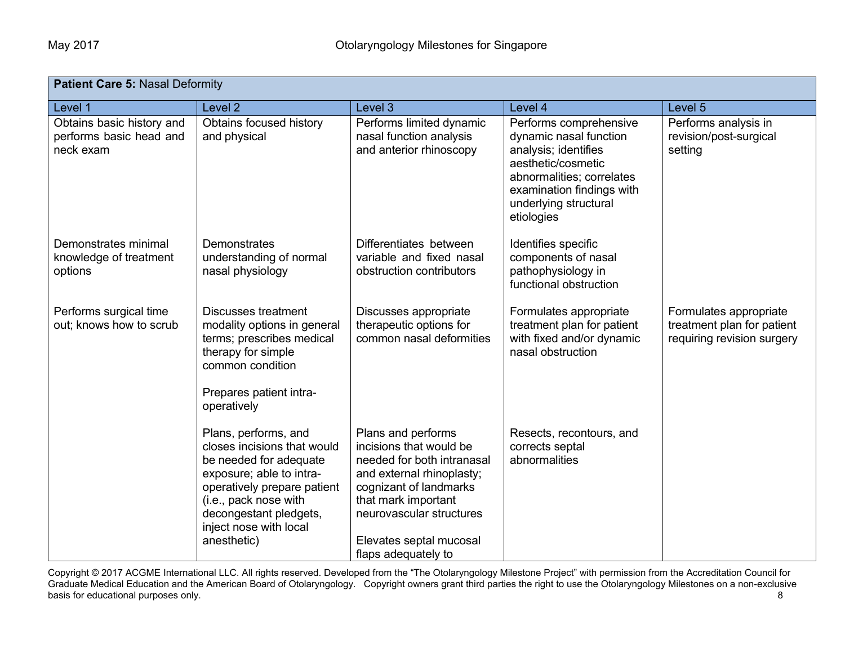| <b>Patient Care 5: Nasal Deformity</b>                            |                                                                                                                                                                                                                                      |                                                                                                                                                                                                                                         |                                                                                                                                                                                                 |                                                                                    |
|-------------------------------------------------------------------|--------------------------------------------------------------------------------------------------------------------------------------------------------------------------------------------------------------------------------------|-----------------------------------------------------------------------------------------------------------------------------------------------------------------------------------------------------------------------------------------|-------------------------------------------------------------------------------------------------------------------------------------------------------------------------------------------------|------------------------------------------------------------------------------------|
| Level 1                                                           | Level <sub>2</sub>                                                                                                                                                                                                                   | Level 3                                                                                                                                                                                                                                 | Level 4                                                                                                                                                                                         | Level 5                                                                            |
| Obtains basic history and<br>performs basic head and<br>neck exam | Obtains focused history<br>and physical                                                                                                                                                                                              | Performs limited dynamic<br>nasal function analysis<br>and anterior rhinoscopy                                                                                                                                                          | Performs comprehensive<br>dynamic nasal function<br>analysis; identifies<br>aesthetic/cosmetic<br>abnormalities; correlates<br>examination findings with<br>underlying structural<br>etiologies | Performs analysis in<br>revision/post-surgical<br>setting                          |
| Demonstrates minimal<br>knowledge of treatment<br>options         | Demonstrates<br>understanding of normal<br>nasal physiology                                                                                                                                                                          | Differentiates between<br>variable and fixed nasal<br>obstruction contributors                                                                                                                                                          | Identifies specific<br>components of nasal<br>pathophysiology in<br>functional obstruction                                                                                                      |                                                                                    |
| Performs surgical time<br>out; knows how to scrub                 | <b>Discusses treatment</b><br>modality options in general<br>terms; prescribes medical<br>therapy for simple<br>common condition<br>Prepares patient intra-<br>operatively                                                           | Discusses appropriate<br>therapeutic options for<br>common nasal deformities                                                                                                                                                            | Formulates appropriate<br>treatment plan for patient<br>with fixed and/or dynamic<br>nasal obstruction                                                                                          | Formulates appropriate<br>treatment plan for patient<br>requiring revision surgery |
|                                                                   | Plans, performs, and<br>closes incisions that would<br>be needed for adequate<br>exposure; able to intra-<br>operatively prepare patient<br>(i.e., pack nose with<br>decongestant pledgets,<br>inject nose with local<br>anesthetic) | Plans and performs<br>incisions that would be<br>needed for both intranasal<br>and external rhinoplasty;<br>cognizant of landmarks<br>that mark important<br>neurovascular structures<br>Elevates septal mucosal<br>flaps adequately to | Resects, recontours, and<br>corrects septal<br>abnormalities                                                                                                                                    |                                                                                    |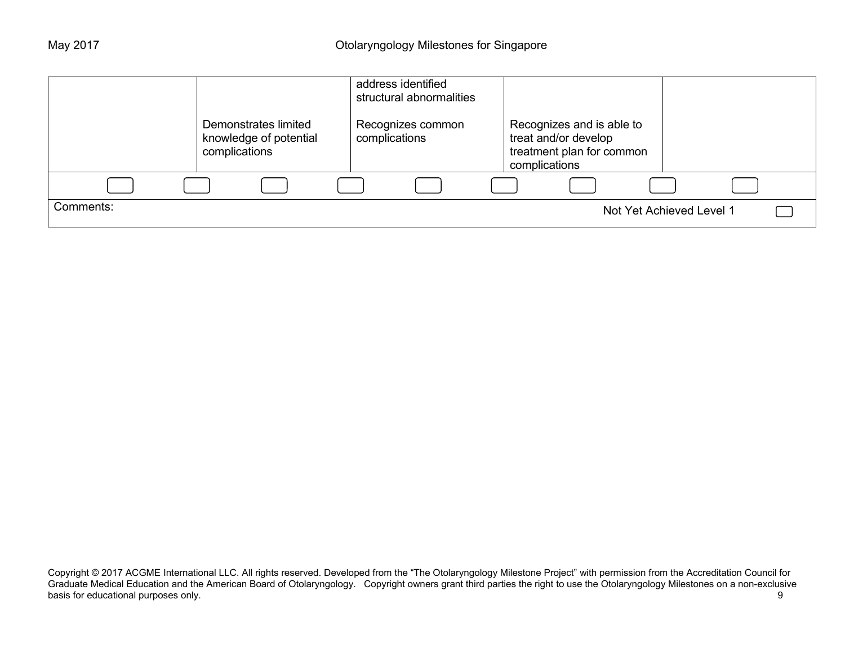|           |                                                                 | address identified<br>structural abnormalities |                                                                                                 |                          |
|-----------|-----------------------------------------------------------------|------------------------------------------------|-------------------------------------------------------------------------------------------------|--------------------------|
|           | Demonstrates limited<br>knowledge of potential<br>complications | Recognizes common<br>complications             | Recognizes and is able to<br>treat and/or develop<br>treatment plan for common<br>complications |                          |
|           |                                                                 |                                                |                                                                                                 |                          |
| Comments: |                                                                 |                                                |                                                                                                 | Not Yet Achieved Level 1 |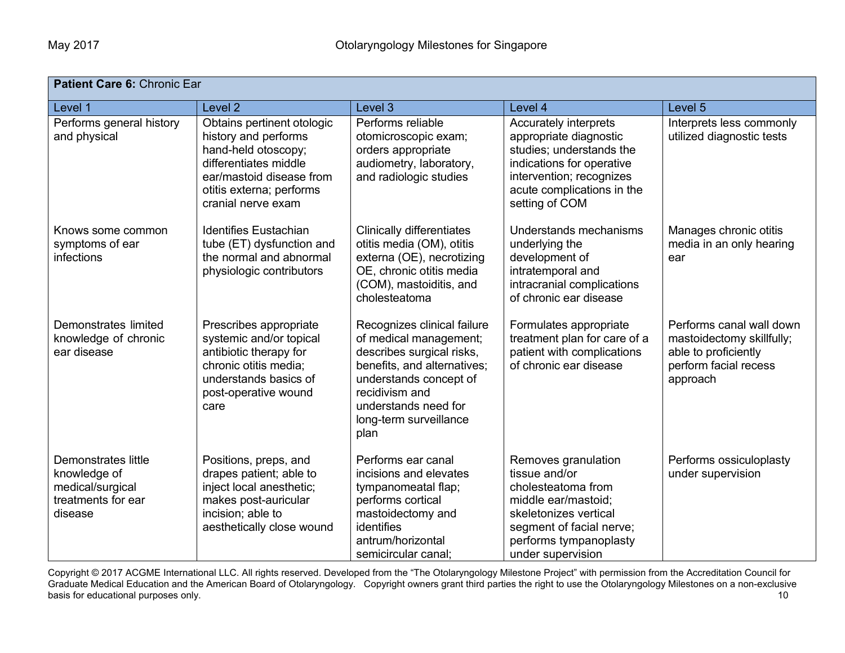| Patient Care 6: Chronic Ear                                                                     |                                                                                                                                                                                  |                                                                                                                                                                                                                         |                                                                                                                                                                                       |                                                                                                                    |
|-------------------------------------------------------------------------------------------------|----------------------------------------------------------------------------------------------------------------------------------------------------------------------------------|-------------------------------------------------------------------------------------------------------------------------------------------------------------------------------------------------------------------------|---------------------------------------------------------------------------------------------------------------------------------------------------------------------------------------|--------------------------------------------------------------------------------------------------------------------|
| Level 1                                                                                         | Level <sub>2</sub>                                                                                                                                                               | Level 3                                                                                                                                                                                                                 | Level 4                                                                                                                                                                               | Level 5                                                                                                            |
| Performs general history<br>and physical                                                        | Obtains pertinent otologic<br>history and performs<br>hand-held otoscopy;<br>differentiates middle<br>ear/mastoid disease from<br>otitis externa; performs<br>cranial nerve exam | Performs reliable<br>otomicroscopic exam;<br>orders appropriate<br>audiometry, laboratory,<br>and radiologic studies                                                                                                    | Accurately interprets<br>appropriate diagnostic<br>studies; understands the<br>indications for operative<br>intervention; recognizes<br>acute complications in the<br>setting of COM  | Interprets less commonly<br>utilized diagnostic tests                                                              |
| Knows some common<br>symptoms of ear<br>infections                                              | <b>Identifies Eustachian</b><br>tube (ET) dysfunction and<br>the normal and abnormal<br>physiologic contributors                                                                 | <b>Clinically differentiates</b><br>otitis media (OM), otitis<br>externa (OE), necrotizing<br>OE, chronic otitis media<br>(COM), mastoiditis, and<br>cholesteatoma                                                      | Understands mechanisms<br>underlying the<br>development of<br>intratemporal and<br>intracranial complications<br>of chronic ear disease                                               | Manages chronic otitis<br>media in an only hearing<br>ear                                                          |
| Demonstrates limited<br>knowledge of chronic<br>ear disease                                     | Prescribes appropriate<br>systemic and/or topical<br>antibiotic therapy for<br>chronic otitis media;<br>understands basics of<br>post-operative wound<br>care                    | Recognizes clinical failure<br>of medical management;<br>describes surgical risks,<br>benefits, and alternatives;<br>understands concept of<br>recidivism and<br>understands need for<br>long-term surveillance<br>plan | Formulates appropriate<br>treatment plan for care of a<br>patient with complications<br>of chronic ear disease                                                                        | Performs canal wall down<br>mastoidectomy skillfully;<br>able to proficiently<br>perform facial recess<br>approach |
| <b>Demonstrates little</b><br>knowledge of<br>medical/surgical<br>treatments for ear<br>disease | Positions, preps, and<br>drapes patient; able to<br>inject local anesthetic;<br>makes post-auricular<br>incision; able to<br>aesthetically close wound                           | Performs ear canal<br>incisions and elevates<br>tympanomeatal flap;<br>performs cortical<br>mastoidectomy and<br>identifies<br>antrum/horizontal<br>semicircular canal;                                                 | Removes granulation<br>tissue and/or<br>cholesteatoma from<br>middle ear/mastoid;<br>skeletonizes vertical<br>segment of facial nerve;<br>performs tympanoplasty<br>under supervision | Performs ossiculoplasty<br>under supervision                                                                       |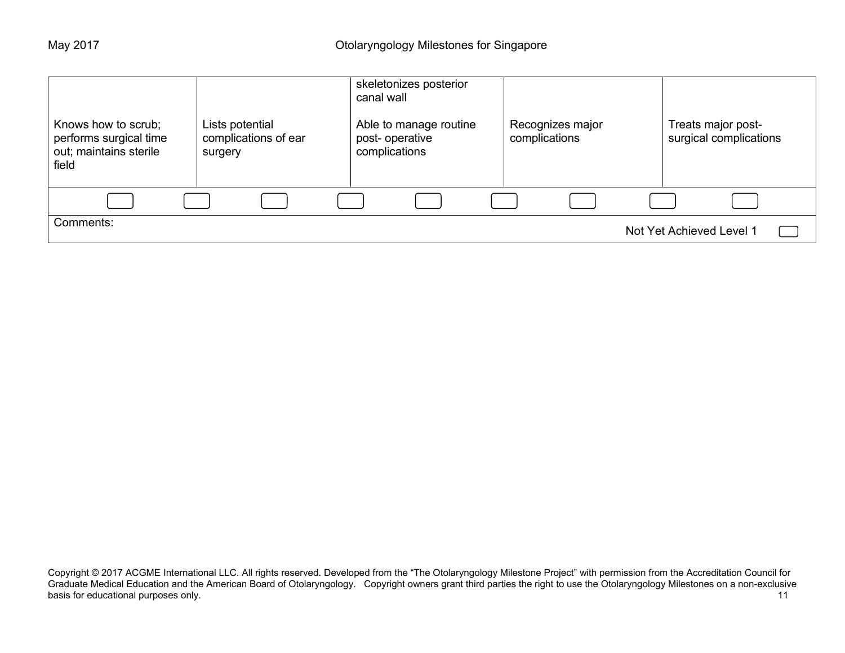| Knows how to scrub;<br>performs surgical time<br>out; maintains sterile<br>field | Lists potential<br>complications of ear<br>surgery | skeletonizes posterior<br>canal wall<br>Able to manage routine<br>post-operative<br>complications | Recognizes major<br>complications | Treats major post-<br>surgical complications |
|----------------------------------------------------------------------------------|----------------------------------------------------|---------------------------------------------------------------------------------------------------|-----------------------------------|----------------------------------------------|
|                                                                                  |                                                    |                                                                                                   |                                   |                                              |
| Comments:                                                                        |                                                    |                                                                                                   |                                   | Not Yet Achieved Level 1                     |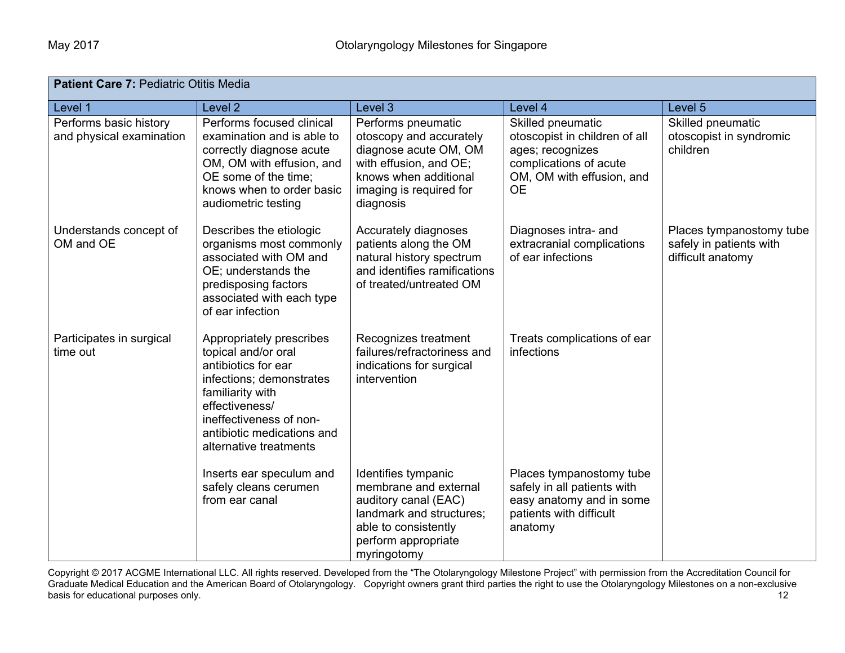| <b>Patient Care 7: Pediatric Otitis Media</b>      |                                                                                                                                                                                                                             |                                                                                                                                                                   |                                                                                                                                            |                                                                          |
|----------------------------------------------------|-----------------------------------------------------------------------------------------------------------------------------------------------------------------------------------------------------------------------------|-------------------------------------------------------------------------------------------------------------------------------------------------------------------|--------------------------------------------------------------------------------------------------------------------------------------------|--------------------------------------------------------------------------|
| Level 1                                            | Level 2                                                                                                                                                                                                                     | Level 3                                                                                                                                                           | Level 4                                                                                                                                    | Level 5                                                                  |
| Performs basic history<br>and physical examination | Performs focused clinical<br>examination and is able to<br>correctly diagnose acute<br>OM, OM with effusion, and<br>OE some of the time;<br>knows when to order basic<br>audiometric testing                                | Performs pneumatic<br>otoscopy and accurately<br>diagnose acute OM, OM<br>with effusion, and OE;<br>knows when additional<br>imaging is required for<br>diagnosis | Skilled pneumatic<br>otoscopist in children of all<br>ages; recognizes<br>complications of acute<br>OM, OM with effusion, and<br><b>OE</b> | Skilled pneumatic<br>otoscopist in syndromic<br>children                 |
| Understands concept of<br>OM and OE                | Describes the etiologic<br>organisms most commonly<br>associated with OM and<br>OE; understands the<br>predisposing factors<br>associated with each type<br>of ear infection                                                | Accurately diagnoses<br>patients along the OM<br>natural history spectrum<br>and identifies ramifications<br>of treated/untreated OM                              | Diagnoses intra- and<br>extracranial complications<br>of ear infections                                                                    | Places tympanostomy tube<br>safely in patients with<br>difficult anatomy |
| Participates in surgical<br>time out               | Appropriately prescribes<br>topical and/or oral<br>antibiotics for ear<br>infections; demonstrates<br>familiarity with<br>effectiveness/<br>ineffectiveness of non-<br>antibiotic medications and<br>alternative treatments | Recognizes treatment<br>failures/refractoriness and<br>indications for surgical<br>intervention                                                                   | Treats complications of ear<br>infections                                                                                                  |                                                                          |
|                                                    | Inserts ear speculum and<br>safely cleans cerumen<br>from ear canal                                                                                                                                                         | Identifies tympanic<br>membrane and external<br>auditory canal (EAC)<br>landmark and structures;<br>able to consistently<br>perform appropriate<br>myringotomy    | Places tympanostomy tube<br>safely in all patients with<br>easy anatomy and in some<br>patients with difficult<br>anatomy                  |                                                                          |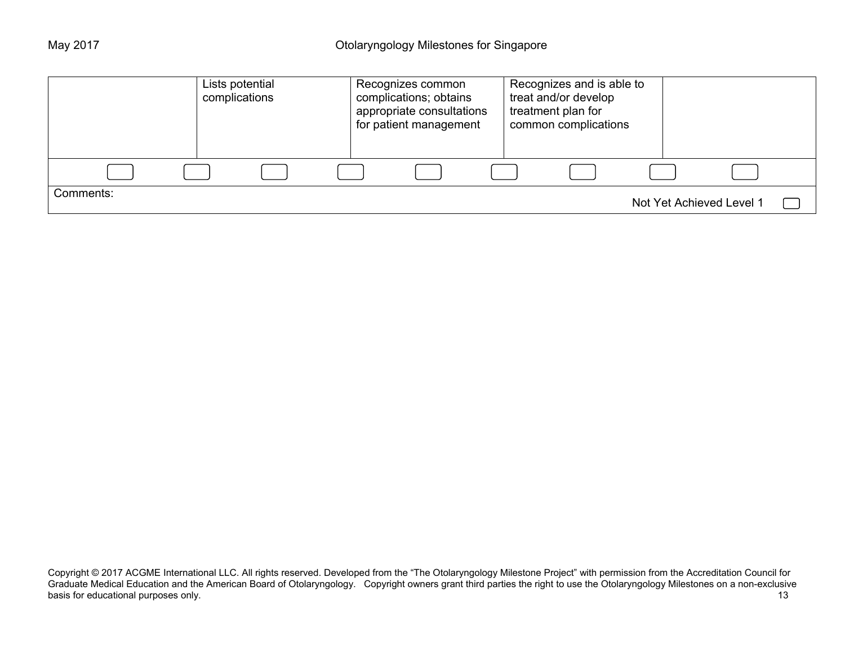|           | Lists potential<br>complications |  | Recognizes common<br>complications; obtains<br>appropriate consultations<br>for patient management | Recognizes and is able to<br>treat and/or develop<br>treatment plan for<br>common complications |  |                          |  |
|-----------|----------------------------------|--|----------------------------------------------------------------------------------------------------|-------------------------------------------------------------------------------------------------|--|--------------------------|--|
|           |                                  |  |                                                                                                    |                                                                                                 |  |                          |  |
| Comments: |                                  |  |                                                                                                    |                                                                                                 |  | Not Yet Achieved Level 1 |  |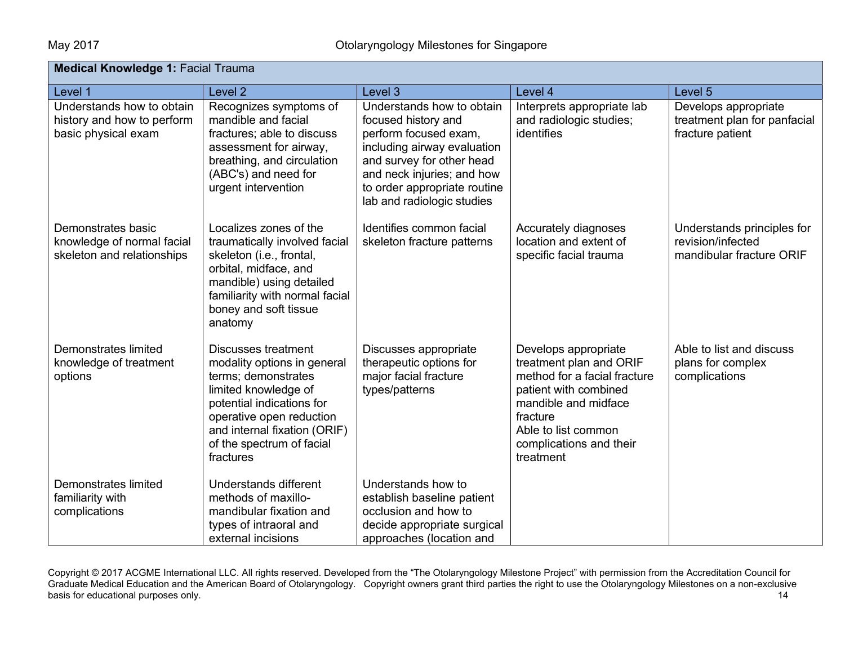| <b>Medical Knowledge 1: Facial Trauma</b>                                      |                                                                                                                                                                                                                                             |                                                                                                                                                                                                                                   |                                                                                                                                                                                                             |                                                                             |  |
|--------------------------------------------------------------------------------|---------------------------------------------------------------------------------------------------------------------------------------------------------------------------------------------------------------------------------------------|-----------------------------------------------------------------------------------------------------------------------------------------------------------------------------------------------------------------------------------|-------------------------------------------------------------------------------------------------------------------------------------------------------------------------------------------------------------|-----------------------------------------------------------------------------|--|
| Level 1                                                                        | Level 2                                                                                                                                                                                                                                     | Level 3                                                                                                                                                                                                                           | Level 4                                                                                                                                                                                                     | Level 5                                                                     |  |
| Understands how to obtain<br>history and how to perform<br>basic physical exam | Recognizes symptoms of<br>mandible and facial<br>fractures; able to discuss<br>assessment for airway,<br>breathing, and circulation<br>(ABC's) and need for<br>urgent intervention                                                          | Understands how to obtain<br>focused history and<br>perform focused exam,<br>including airway evaluation<br>and survey for other head<br>and neck injuries; and how<br>to order appropriate routine<br>lab and radiologic studies | Interprets appropriate lab<br>and radiologic studies;<br>identifies                                                                                                                                         | Develops appropriate<br>treatment plan for panfacial<br>fracture patient    |  |
| Demonstrates basic<br>knowledge of normal facial<br>skeleton and relationships | Localizes zones of the<br>traumatically involved facial<br>skeleton (i.e., frontal,<br>orbital, midface, and<br>mandible) using detailed<br>familiarity with normal facial<br>boney and soft tissue<br>anatomy                              | Identifies common facial<br>skeleton fracture patterns                                                                                                                                                                            | Accurately diagnoses<br>location and extent of<br>specific facial trauma                                                                                                                                    | Understands principles for<br>revision/infected<br>mandibular fracture ORIF |  |
| Demonstrates limited<br>knowledge of treatment<br>options                      | <b>Discusses treatment</b><br>modality options in general<br>terms; demonstrates<br>limited knowledge of<br>potential indications for<br>operative open reduction<br>and internal fixation (ORIF)<br>of the spectrum of facial<br>fractures | Discusses appropriate<br>therapeutic options for<br>major facial fracture<br>types/patterns                                                                                                                                       | Develops appropriate<br>treatment plan and ORIF<br>method for a facial fracture<br>patient with combined<br>mandible and midface<br>fracture<br>Able to list common<br>complications and their<br>treatment | Able to list and discuss<br>plans for complex<br>complications              |  |
| Demonstrates limited<br>familiarity with<br>complications                      | Understands different<br>methods of maxillo-<br>mandibular fixation and<br>types of intraoral and<br>external incisions                                                                                                                     | Understands how to<br>establish baseline patient<br>occlusion and how to<br>decide appropriate surgical<br>approaches (location and                                                                                               |                                                                                                                                                                                                             |                                                                             |  |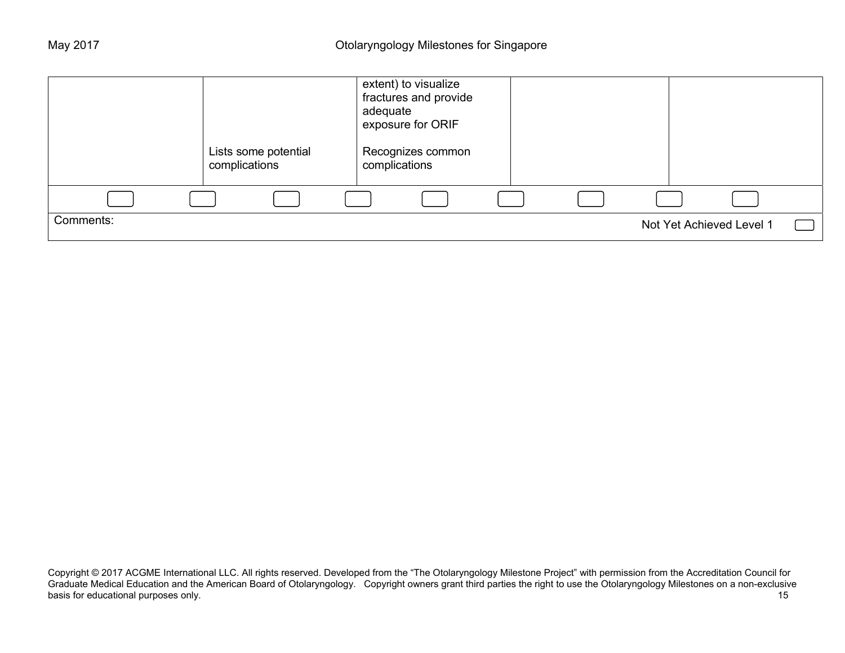|           | Lists some potential<br>complications | extent) to visualize<br>fractures and provide<br>adequate<br>exposure for ORIF<br>Recognizes common<br>complications |                          |  |
|-----------|---------------------------------------|----------------------------------------------------------------------------------------------------------------------|--------------------------|--|
|           |                                       |                                                                                                                      |                          |  |
| Comments: |                                       |                                                                                                                      | Not Yet Achieved Level 1 |  |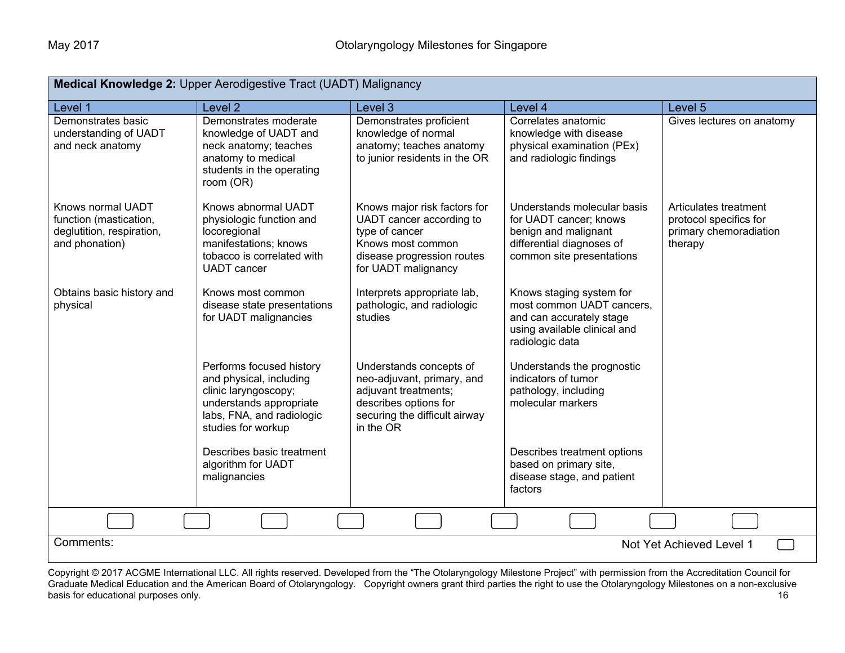| Medical Knowledge 2: Upper Aerodigestive Tract (UADT) Malignancy                           |                                                                                                                                                           |                                                                                                                                                        |                                                                                                                                         |                                                                                      |  |  |
|--------------------------------------------------------------------------------------------|-----------------------------------------------------------------------------------------------------------------------------------------------------------|--------------------------------------------------------------------------------------------------------------------------------------------------------|-----------------------------------------------------------------------------------------------------------------------------------------|--------------------------------------------------------------------------------------|--|--|
| Level 1                                                                                    | Level <sub>2</sub>                                                                                                                                        | Level 3                                                                                                                                                | Level 4                                                                                                                                 | Level 5                                                                              |  |  |
| Demonstrates basic<br>understanding of UADT<br>and neck anatomy                            | Demonstrates moderate<br>knowledge of UADT and<br>neck anatomy; teaches<br>anatomy to medical<br>students in the operating<br>room (OR)                   | Demonstrates proficient<br>knowledge of normal<br>anatomy; teaches anatomy<br>to junior residents in the OR                                            | Correlates anatomic<br>knowledge with disease<br>physical examination (PEx)<br>and radiologic findings                                  | Gives lectures on anatomy                                                            |  |  |
| Knows normal UADT<br>function (mastication,<br>deglutition, respiration,<br>and phonation) | Knows abnormal UADT<br>physiologic function and<br>locoregional<br>manifestations; knows<br>tobacco is correlated with<br><b>UADT</b> cancer              | Knows major risk factors for<br>UADT cancer according to<br>type of cancer<br>Knows most common<br>disease progression routes<br>for UADT malignancy   | Understands molecular basis<br>for UADT cancer; knows<br>benign and malignant<br>differential diagnoses of<br>common site presentations | Articulates treatment<br>protocol specifics for<br>primary chemoradiation<br>therapy |  |  |
| Obtains basic history and<br>physical                                                      | Knows most common<br>disease state presentations<br>for UADT malignancies                                                                                 | Interprets appropriate lab,<br>pathologic, and radiologic<br>studies                                                                                   | Knows staging system for<br>most common UADT cancers,<br>and can accurately stage<br>using available clinical and<br>radiologic data    |                                                                                      |  |  |
|                                                                                            | Performs focused history<br>and physical, including<br>clinic laryngoscopy;<br>understands appropriate<br>labs, FNA, and radiologic<br>studies for workup | Understands concepts of<br>neo-adjuvant, primary, and<br>adjuvant treatments;<br>describes options for<br>securing the difficult airway<br>in the $OR$ | Understands the prognostic<br>indicators of tumor<br>pathology, including<br>molecular markers                                          |                                                                                      |  |  |
|                                                                                            | Describes basic treatment<br>algorithm for UADT<br>malignancies                                                                                           |                                                                                                                                                        | Describes treatment options<br>based on primary site,<br>disease stage, and patient<br>factors                                          |                                                                                      |  |  |
|                                                                                            |                                                                                                                                                           |                                                                                                                                                        |                                                                                                                                         |                                                                                      |  |  |
| Comments:<br>Not Yet Achieved Level 1                                                      |                                                                                                                                                           |                                                                                                                                                        |                                                                                                                                         |                                                                                      |  |  |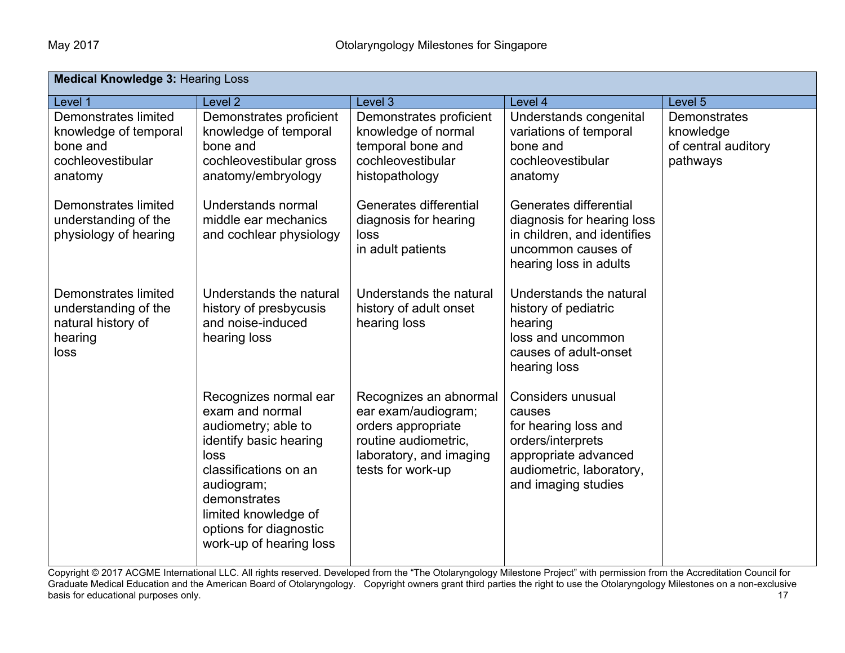| <b>Medical Knowledge 3: Hearing Loss</b>                                                         |                                                                                                                                                                                                                                       |                                                                                                                                             |                                                                                                                                                     |                                                                     |  |  |
|--------------------------------------------------------------------------------------------------|---------------------------------------------------------------------------------------------------------------------------------------------------------------------------------------------------------------------------------------|---------------------------------------------------------------------------------------------------------------------------------------------|-----------------------------------------------------------------------------------------------------------------------------------------------------|---------------------------------------------------------------------|--|--|
| Level 1                                                                                          | Level <sub>2</sub>                                                                                                                                                                                                                    | Level 3                                                                                                                                     | Level 4                                                                                                                                             | Level 5                                                             |  |  |
| <b>Demonstrates limited</b><br>knowledge of temporal<br>bone and<br>cochleovestibular<br>anatomy | Demonstrates proficient<br>knowledge of temporal<br>bone and<br>cochleovestibular gross<br>anatomy/embryology                                                                                                                         | Demonstrates proficient<br>knowledge of normal<br>temporal bone and<br>cochleovestibular<br>histopathology                                  | Understands congenital<br>variations of temporal<br>bone and<br>cochleovestibular<br>anatomy                                                        | <b>Demonstrates</b><br>knowledge<br>of central auditory<br>pathways |  |  |
| Demonstrates limited<br>understanding of the<br>physiology of hearing                            | Understands normal<br>middle ear mechanics<br>and cochlear physiology                                                                                                                                                                 | Generates differential<br>diagnosis for hearing<br>loss<br>in adult patients                                                                | Generates differential<br>diagnosis for hearing loss<br>in children, and identifies<br>uncommon causes of<br>hearing loss in adults                 |                                                                     |  |  |
| Demonstrates limited<br>understanding of the<br>natural history of<br>hearing<br>loss            | Understands the natural<br>history of presbycusis<br>and noise-induced<br>hearing loss                                                                                                                                                | Understands the natural<br>history of adult onset<br>hearing loss                                                                           | Understands the natural<br>history of pediatric<br>hearing<br>loss and uncommon<br>causes of adult-onset<br>hearing loss                            |                                                                     |  |  |
|                                                                                                  | Recognizes normal ear<br>exam and normal<br>audiometry; able to<br>identify basic hearing<br>loss<br>classifications on an<br>audiogram;<br>demonstrates<br>limited knowledge of<br>options for diagnostic<br>work-up of hearing loss | Recognizes an abnormal<br>ear exam/audiogram;<br>orders appropriate<br>routine audiometric,<br>laboratory, and imaging<br>tests for work-up | Considers unusual<br>causes<br>for hearing loss and<br>orders/interprets<br>appropriate advanced<br>audiometric, laboratory,<br>and imaging studies |                                                                     |  |  |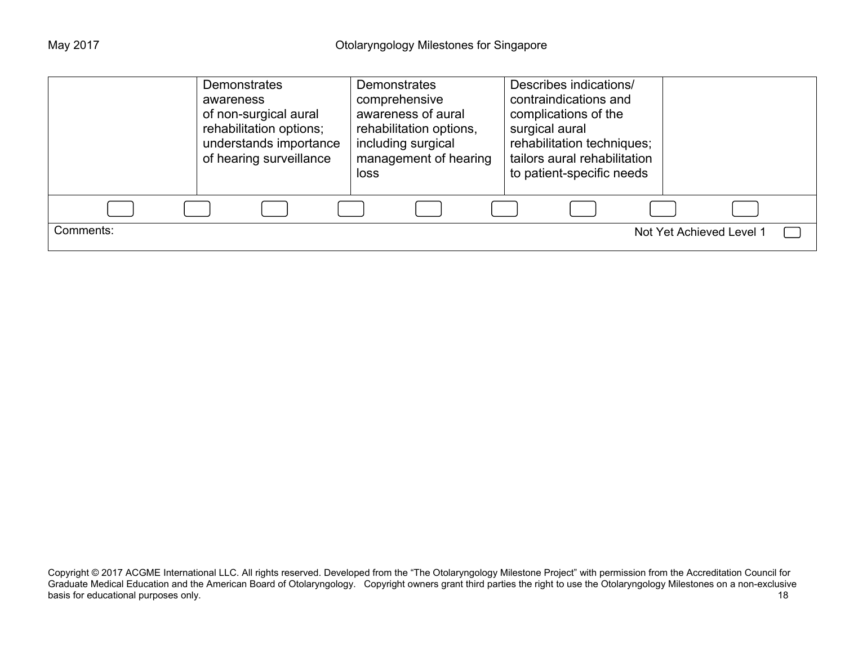|           | <b>Demonstrates</b><br>awareness<br>of non-surgical aural<br>rehabilitation options;<br>understands importance<br>of hearing surveillance | <b>Demonstrates</b><br>comprehensive<br>awareness of aural<br>rehabilitation options,<br>including surgical<br>management of hearing<br>loss | Describes indications/<br>contraindications and<br>complications of the<br>surgical aural<br>rehabilitation techniques;<br>tailors aural rehabilitation<br>to patient-specific needs |                          |
|-----------|-------------------------------------------------------------------------------------------------------------------------------------------|----------------------------------------------------------------------------------------------------------------------------------------------|--------------------------------------------------------------------------------------------------------------------------------------------------------------------------------------|--------------------------|
|           |                                                                                                                                           |                                                                                                                                              |                                                                                                                                                                                      |                          |
| Comments: |                                                                                                                                           |                                                                                                                                              |                                                                                                                                                                                      | Not Yet Achieved Level 1 |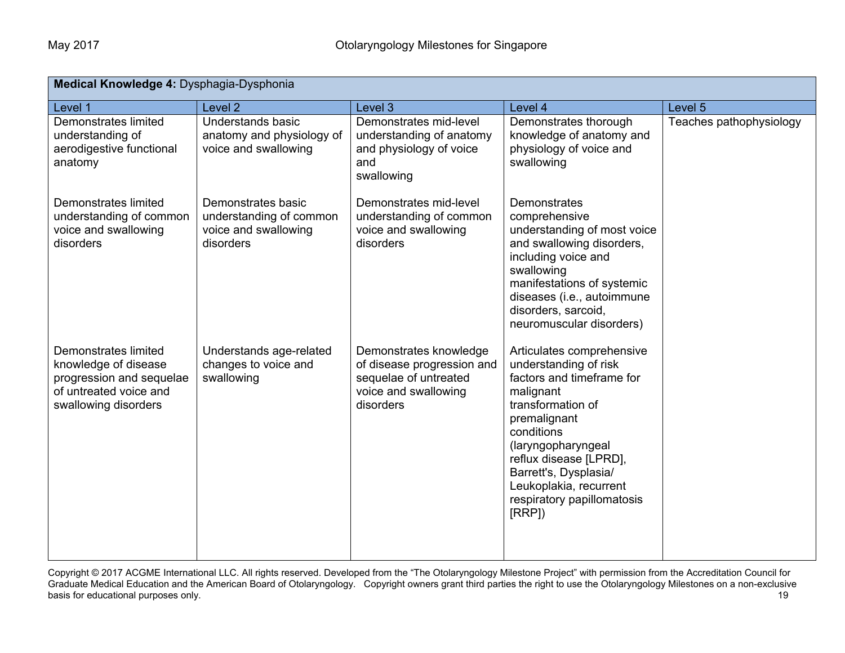| Medical Knowledge 4: Dysphagia-Dysphonia                                                                                   |                                                                                    |                                                                                                                    |                                                                                                                                                                                                                                                                                           |                         |
|----------------------------------------------------------------------------------------------------------------------------|------------------------------------------------------------------------------------|--------------------------------------------------------------------------------------------------------------------|-------------------------------------------------------------------------------------------------------------------------------------------------------------------------------------------------------------------------------------------------------------------------------------------|-------------------------|
| Level 1                                                                                                                    | Level <sub>2</sub>                                                                 | Level 3                                                                                                            | Level 4                                                                                                                                                                                                                                                                                   | Level 5                 |
| Demonstrates limited<br>understanding of<br>aerodigestive functional<br>anatomy                                            | Understands basic<br>anatomy and physiology of<br>voice and swallowing             | Demonstrates mid-level<br>understanding of anatomy<br>and physiology of voice<br>and<br>swallowing                 | Demonstrates thorough<br>knowledge of anatomy and<br>physiology of voice and<br>swallowing                                                                                                                                                                                                | Teaches pathophysiology |
| <b>Demonstrates limited</b><br>understanding of common<br>voice and swallowing<br>disorders                                | Demonstrates basic<br>understanding of common<br>voice and swallowing<br>disorders | Demonstrates mid-level<br>understanding of common<br>voice and swallowing<br>disorders                             | Demonstrates<br>comprehensive<br>understanding of most voice<br>and swallowing disorders,<br>including voice and<br>swallowing<br>manifestations of systemic<br>diseases (i.e., autoimmune<br>disorders, sarcoid,<br>neuromuscular disorders)                                             |                         |
| Demonstrates limited<br>knowledge of disease<br>progression and sequelae<br>of untreated voice and<br>swallowing disorders | Understands age-related<br>changes to voice and<br>swallowing                      | Demonstrates knowledge<br>of disease progression and<br>sequelae of untreated<br>voice and swallowing<br>disorders | Articulates comprehensive<br>understanding of risk<br>factors and timeframe for<br>malignant<br>transformation of<br>premalignant<br>conditions<br>(laryngopharyngeal<br>reflux disease [LPRD],<br>Barrett's, Dysplasia/<br>Leukoplakia, recurrent<br>respiratory papillomatosis<br>[RRP] |                         |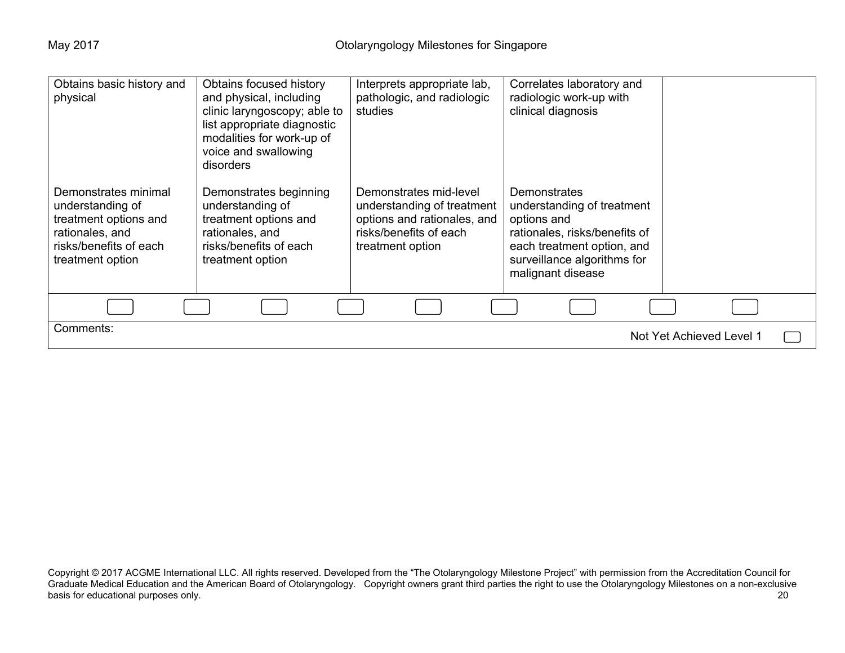| Obtains basic history and | Obtains focused history      | Interprets appropriate lab, | Correlates laboratory and     |                          |
|---------------------------|------------------------------|-----------------------------|-------------------------------|--------------------------|
| physical                  | and physical, including      | pathologic, and radiologic  | radiologic work-up with       |                          |
|                           | clinic laryngoscopy; able to | studies                     | clinical diagnosis            |                          |
|                           | list appropriate diagnostic  |                             |                               |                          |
|                           |                              |                             |                               |                          |
|                           | modalities for work-up of    |                             |                               |                          |
|                           | voice and swallowing         |                             |                               |                          |
|                           | disorders                    |                             |                               |                          |
|                           |                              |                             |                               |                          |
| Demonstrates minimal      | Demonstrates beginning       | Demonstrates mid-level      | <b>Demonstrates</b>           |                          |
| understanding of          | understanding of             | understanding of treatment  | understanding of treatment    |                          |
| treatment options and     | treatment options and        | options and rationales, and | options and                   |                          |
|                           |                              |                             |                               |                          |
| rationales, and           | rationales, and              | risks/benefits of each      | rationales, risks/benefits of |                          |
| risks/benefits of each    | risks/benefits of each       | treatment option            | each treatment option, and    |                          |
| treatment option          | treatment option             |                             | surveillance algorithms for   |                          |
|                           |                              |                             | malignant disease             |                          |
|                           |                              |                             |                               |                          |
|                           |                              |                             |                               |                          |
|                           |                              |                             |                               |                          |
| Comments:                 |                              |                             |                               |                          |
|                           |                              |                             |                               | Not Yet Achieved Level 1 |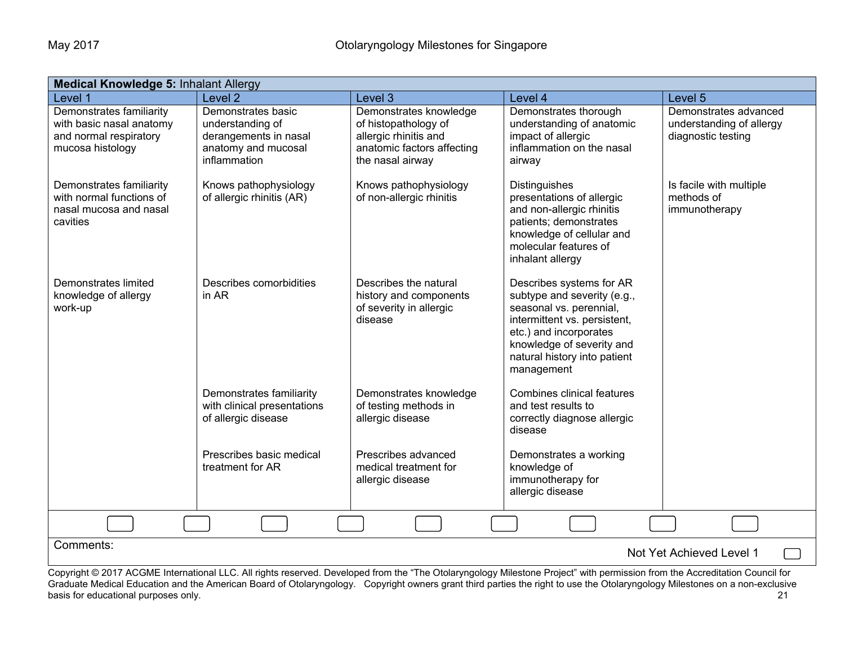| <b>Medical Knowledge 5: Inhalant Allergy</b>                                                       |                                                                                                        |                                                                                                                           |                                                                                                                                                                                                                         |                                                                         |  |  |
|----------------------------------------------------------------------------------------------------|--------------------------------------------------------------------------------------------------------|---------------------------------------------------------------------------------------------------------------------------|-------------------------------------------------------------------------------------------------------------------------------------------------------------------------------------------------------------------------|-------------------------------------------------------------------------|--|--|
| Level 1                                                                                            | Level <sub>2</sub>                                                                                     | Level 3                                                                                                                   | Level 4                                                                                                                                                                                                                 | Level <sub>5</sub>                                                      |  |  |
| Demonstrates familiarity<br>with basic nasal anatomy<br>and normal respiratory<br>mucosa histology | Demonstrates basic<br>understanding of<br>derangements in nasal<br>anatomy and mucosal<br>inflammation | Demonstrates knowledge<br>of histopathology of<br>allergic rhinitis and<br>anatomic factors affecting<br>the nasal airway | Demonstrates thorough<br>understanding of anatomic<br>impact of allergic<br>inflammation on the nasal<br>airway                                                                                                         | Demonstrates advanced<br>understanding of allergy<br>diagnostic testing |  |  |
| Demonstrates familiarity<br>with normal functions of<br>nasal mucosa and nasal<br>cavities         | Knows pathophysiology<br>of allergic rhinitis (AR)                                                     | Knows pathophysiology<br>of non-allergic rhinitis                                                                         | Distinguishes<br>presentations of allergic<br>and non-allergic rhinitis<br>patients; demonstrates<br>knowledge of cellular and<br>molecular features of<br>inhalant allergy                                             | Is facile with multiple<br>methods of<br>immunotherapy                  |  |  |
| Demonstrates limited<br>knowledge of allergy<br>work-up                                            | Describes comorbidities<br>in AR                                                                       | Describes the natural<br>history and components<br>of severity in allergic<br>disease                                     | Describes systems for AR<br>subtype and severity (e.g.,<br>seasonal vs. perennial,<br>intermittent vs. persistent,<br>etc.) and incorporates<br>knowledge of severity and<br>natural history into patient<br>management |                                                                         |  |  |
|                                                                                                    | Demonstrates familiarity<br>with clinical presentations<br>of allergic disease                         | Demonstrates knowledge<br>of testing methods in<br>allergic disease                                                       | <b>Combines clinical features</b><br>and test results to<br>correctly diagnose allergic<br>disease                                                                                                                      |                                                                         |  |  |
|                                                                                                    | Prescribes basic medical<br>treatment for AR                                                           | Prescribes advanced<br>medical treatment for<br>allergic disease                                                          | Demonstrates a working<br>knowledge of<br>immunotherapy for<br>allergic disease                                                                                                                                         |                                                                         |  |  |
|                                                                                                    |                                                                                                        |                                                                                                                           |                                                                                                                                                                                                                         |                                                                         |  |  |
| Comments:<br>Not Yet Achieved Level 1                                                              |                                                                                                        |                                                                                                                           |                                                                                                                                                                                                                         |                                                                         |  |  |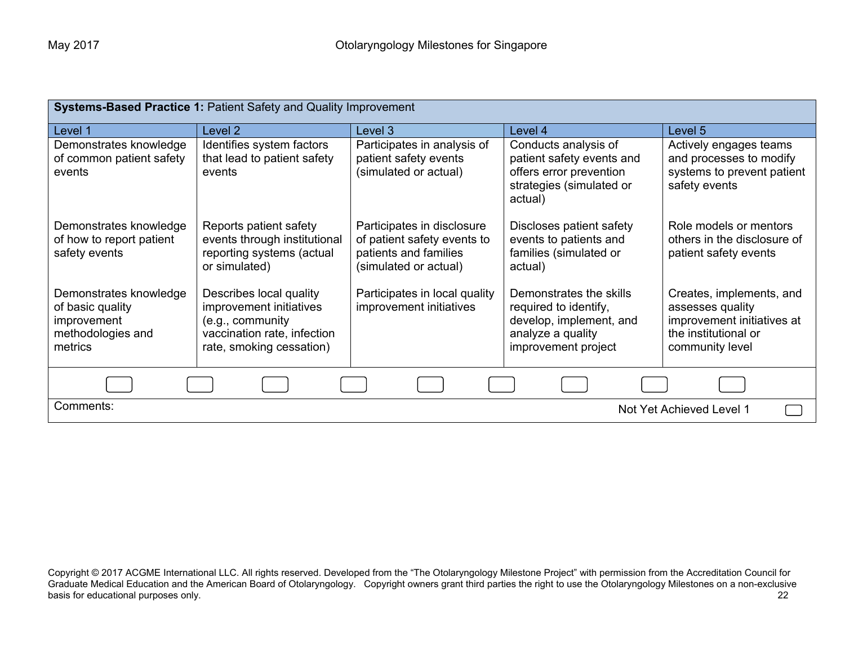| <b>Systems-Based Practice 1: Patient Safety and Quality Improvement</b>                   |                                                                                                                                   |                                                                                                             |                                                                                                                         |                                                                                                                       |  |
|-------------------------------------------------------------------------------------------|-----------------------------------------------------------------------------------------------------------------------------------|-------------------------------------------------------------------------------------------------------------|-------------------------------------------------------------------------------------------------------------------------|-----------------------------------------------------------------------------------------------------------------------|--|
| Level 1                                                                                   | Level 2                                                                                                                           | Level 3                                                                                                     | Level 4                                                                                                                 | Level 5                                                                                                               |  |
| Demonstrates knowledge<br>of common patient safety                                        | Identifies system factors<br>that lead to patient safety                                                                          | Participates in analysis of<br>patient safety events                                                        | Conducts analysis of<br>patient safety events and                                                                       | Actively engages teams<br>and processes to modify                                                                     |  |
| events                                                                                    | events                                                                                                                            | (simulated or actual)                                                                                       | offers error prevention<br>strategies (simulated or<br>actual)                                                          | systems to prevent patient<br>safety events                                                                           |  |
| Demonstrates knowledge<br>of how to report patient<br>safety events                       | Reports patient safety<br>events through institutional<br>reporting systems (actual<br>or simulated)                              | Participates in disclosure<br>of patient safety events to<br>patients and families<br>(simulated or actual) | Discloses patient safety<br>events to patients and<br>families (simulated or<br>actual)                                 | Role models or mentors<br>others in the disclosure of<br>patient safety events                                        |  |
| Demonstrates knowledge<br>of basic quality<br>improvement<br>methodologies and<br>metrics | Describes local quality<br>improvement initiatives<br>(e.g., community<br>vaccination rate, infection<br>rate, smoking cessation) | Participates in local quality<br>improvement initiatives                                                    | Demonstrates the skills<br>required to identify,<br>develop, implement, and<br>analyze a quality<br>improvement project | Creates, implements, and<br>assesses quality<br>improvement initiatives at<br>the institutional or<br>community level |  |
|                                                                                           |                                                                                                                                   |                                                                                                             |                                                                                                                         |                                                                                                                       |  |
| Comments:                                                                                 | Not Yet Achieved Level 1                                                                                                          |                                                                                                             |                                                                                                                         |                                                                                                                       |  |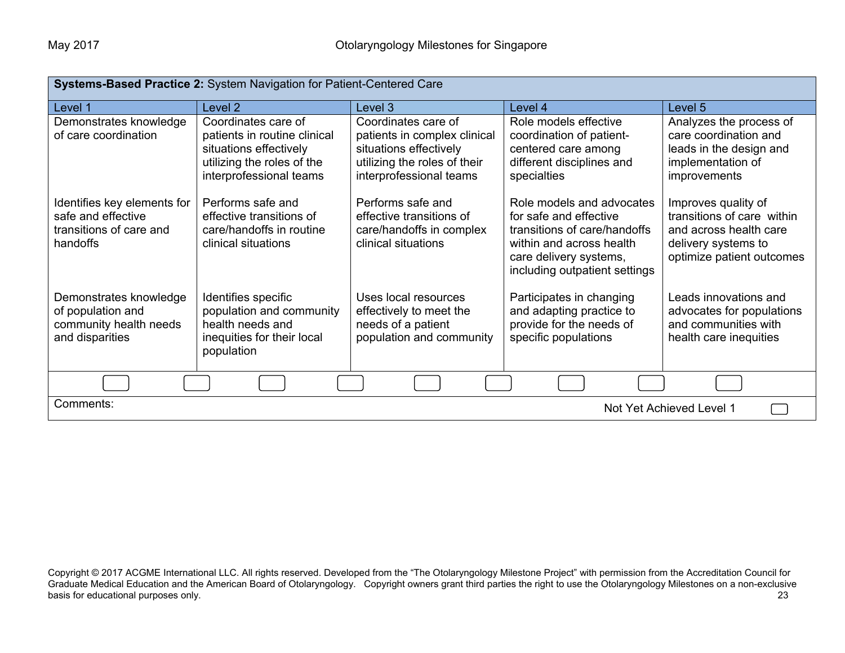| Systems-Based Practice 2: System Navigation for Patient-Centered Care                    |                                                                                                                                        |                                                                                                                                          |                                                                                                                                                                            |                                                                                                                                 |
|------------------------------------------------------------------------------------------|----------------------------------------------------------------------------------------------------------------------------------------|------------------------------------------------------------------------------------------------------------------------------------------|----------------------------------------------------------------------------------------------------------------------------------------------------------------------------|---------------------------------------------------------------------------------------------------------------------------------|
| Level 1                                                                                  | Level <sub>2</sub>                                                                                                                     | Level 3                                                                                                                                  | Level 4                                                                                                                                                                    | Level 5                                                                                                                         |
| Demonstrates knowledge<br>of care coordination                                           | Coordinates care of<br>patients in routine clinical<br>situations effectively<br>utilizing the roles of the<br>interprofessional teams | Coordinates care of<br>patients in complex clinical<br>situations effectively<br>utilizing the roles of their<br>interprofessional teams | Role models effective<br>coordination of patient-<br>centered care among<br>different disciplines and<br>specialties                                                       | Analyzes the process of<br>care coordination and<br>leads in the design and<br>implementation of<br>improvements                |
| Identifies key elements for<br>safe and effective<br>transitions of care and<br>handoffs | Performs safe and<br>effective transitions of<br>care/handoffs in routine<br>clinical situations                                       | Performs safe and<br>effective transitions of<br>care/handoffs in complex<br>clinical situations                                         | Role models and advocates<br>for safe and effective<br>transitions of care/handoffs<br>within and across health<br>care delivery systems,<br>including outpatient settings | Improves quality of<br>transitions of care within<br>and across health care<br>delivery systems to<br>optimize patient outcomes |
| Demonstrates knowledge<br>of population and<br>community health needs<br>and disparities | Identifies specific<br>population and community<br>health needs and<br>inequities for their local<br>population                        | Uses local resources<br>effectively to meet the<br>needs of a patient<br>population and community                                        | Participates in changing<br>and adapting practice to<br>provide for the needs of<br>specific populations                                                                   | Leads innovations and<br>advocates for populations<br>and communities with<br>health care inequities                            |
|                                                                                          |                                                                                                                                        |                                                                                                                                          |                                                                                                                                                                            |                                                                                                                                 |
| Comments:<br>Not Yet Achieved Level 1                                                    |                                                                                                                                        |                                                                                                                                          |                                                                                                                                                                            |                                                                                                                                 |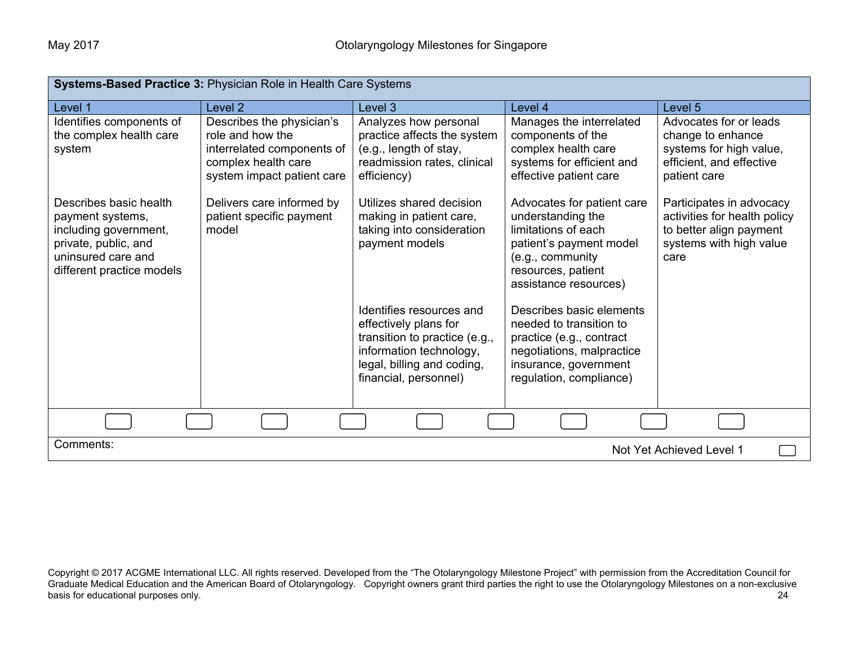| Systems-Based Practice 3: Physician Role in Health Care Systems                                                                                |                                                                                                                                  |                                                                                                                                                                      |                                                                                                                                                                      |                                                                                                                        |
|------------------------------------------------------------------------------------------------------------------------------------------------|----------------------------------------------------------------------------------------------------------------------------------|----------------------------------------------------------------------------------------------------------------------------------------------------------------------|----------------------------------------------------------------------------------------------------------------------------------------------------------------------|------------------------------------------------------------------------------------------------------------------------|
| Level 1                                                                                                                                        | Level 2                                                                                                                          | Level 3                                                                                                                                                              | Level 4                                                                                                                                                              | Level 5                                                                                                                |
| Identifies components of<br>the complex health care<br>system                                                                                  | Describes the physician's<br>role and how the<br>interrelated components of<br>complex health care<br>system impact patient care | Analyzes how personal<br>practice affects the system<br>(e.g., length of stay,<br>readmission rates, clinical<br>efficiency)                                         | Manages the interrelated<br>components of the<br>complex health care<br>systems for efficient and<br>effective patient care                                          | Advocates for or leads<br>change to enhance<br>systems for high value,<br>efficient, and effective<br>patient care     |
| Describes basic health<br>payment systems,<br>including government,<br>private, public, and<br>uninsured care and<br>different practice models | Delivers care informed by<br>patient specific payment<br>model                                                                   | Utilizes shared decision<br>making in patient care,<br>taking into consideration<br>payment models                                                                   | Advocates for patient care<br>understanding the<br>limitations of each<br>patient's payment model<br>(e.g., community<br>resources, patient<br>assistance resources) | Participates in advocacy<br>activities for health policy<br>to better align payment<br>systems with high value<br>care |
|                                                                                                                                                |                                                                                                                                  | Identifies resources and<br>effectively plans for<br>transition to practice (e.g.,<br>information technology,<br>legal, billing and coding,<br>financial, personnel) | Describes basic elements<br>needed to transition to<br>practice (e.g., contract<br>negotiations, malpractice<br>insurance, government<br>regulation, compliance)     |                                                                                                                        |
|                                                                                                                                                |                                                                                                                                  |                                                                                                                                                                      |                                                                                                                                                                      |                                                                                                                        |
| Comments:<br>Not Yet Achieved Level 1                                                                                                          |                                                                                                                                  |                                                                                                                                                                      |                                                                                                                                                                      |                                                                                                                        |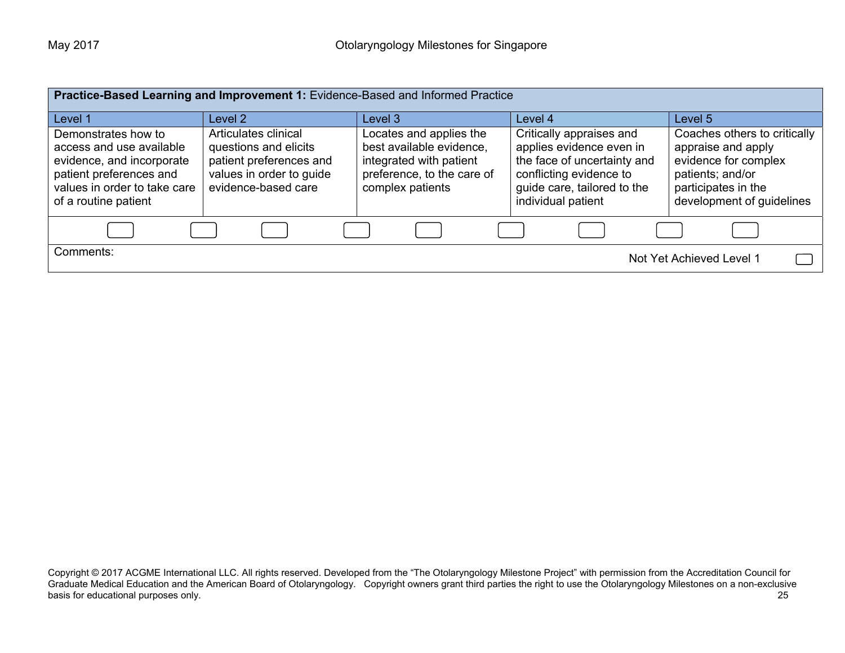| Practice-Based Learning and Improvement 1: Evidence-Based and Informed Practice                                                                                 |                                                                                                                             |                                                                                                                                  |                                                                                                                                                                     |                                                                                                                                                    |
|-----------------------------------------------------------------------------------------------------------------------------------------------------------------|-----------------------------------------------------------------------------------------------------------------------------|----------------------------------------------------------------------------------------------------------------------------------|---------------------------------------------------------------------------------------------------------------------------------------------------------------------|----------------------------------------------------------------------------------------------------------------------------------------------------|
| Level 1                                                                                                                                                         | Level 2                                                                                                                     | Level 3                                                                                                                          | Level 4                                                                                                                                                             | Level 5                                                                                                                                            |
| Demonstrates how to<br>access and use available<br>evidence, and incorporate<br>patient preferences and<br>values in order to take care<br>of a routine patient | Articulates clinical<br>questions and elicits<br>patient preferences and<br>values in order to guide<br>evidence-based care | Locates and applies the<br>best available evidence,<br>integrated with patient<br>preference, to the care of<br>complex patients | Critically appraises and<br>applies evidence even in<br>the face of uncertainty and<br>conflicting evidence to<br>guide care, tailored to the<br>individual patient | Coaches others to critically<br>appraise and apply<br>evidence for complex<br>patients; and/or<br>participates in the<br>development of guidelines |
|                                                                                                                                                                 |                                                                                                                             |                                                                                                                                  |                                                                                                                                                                     |                                                                                                                                                    |
| Comments:<br>Not Yet Achieved Level 1                                                                                                                           |                                                                                                                             |                                                                                                                                  |                                                                                                                                                                     |                                                                                                                                                    |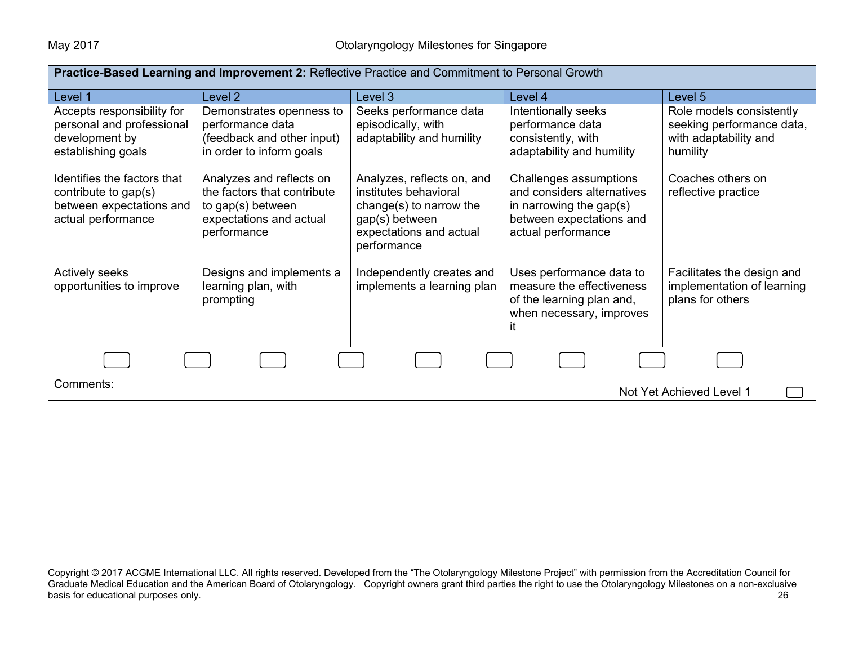| Practice-Based Learning and Improvement 2: Reflective Practice and Commitment to Personal Growth      |                                                                                                                        |                                                                                                                                            |                                                                                                                                   |                                                                                            |  |
|-------------------------------------------------------------------------------------------------------|------------------------------------------------------------------------------------------------------------------------|--------------------------------------------------------------------------------------------------------------------------------------------|-----------------------------------------------------------------------------------------------------------------------------------|--------------------------------------------------------------------------------------------|--|
| Level 1                                                                                               | Level 2                                                                                                                | Level 3                                                                                                                                    | Level 4                                                                                                                           | Level 5                                                                                    |  |
| Accepts responsibility for<br>personal and professional<br>development by<br>establishing goals       | Demonstrates openness to<br>performance data<br>(feedback and other input)<br>in order to inform goals                 | Seeks performance data<br>episodically, with<br>adaptability and humility                                                                  | Intentionally seeks<br>performance data<br>consistently, with<br>adaptability and humility                                        | Role models consistently<br>seeking performance data,<br>with adaptability and<br>humility |  |
| Identifies the factors that<br>contribute to gap(s)<br>between expectations and<br>actual performance | Analyzes and reflects on<br>the factors that contribute<br>to gap(s) between<br>expectations and actual<br>performance | Analyzes, reflects on, and<br>institutes behavioral<br>change(s) to narrow the<br>gap(s) between<br>expectations and actual<br>performance | Challenges assumptions<br>and considers alternatives<br>in narrowing the gap(s)<br>between expectations and<br>actual performance | Coaches others on<br>reflective practice                                                   |  |
| Actively seeks<br>opportunities to improve                                                            | Designs and implements a<br>learning plan, with<br>prompting                                                           | Independently creates and<br>implements a learning plan                                                                                    | Uses performance data to<br>measure the effectiveness<br>of the learning plan and,<br>when necessary, improves<br>it              | Facilitates the design and<br>implementation of learning<br>plans for others               |  |
|                                                                                                       |                                                                                                                        |                                                                                                                                            |                                                                                                                                   |                                                                                            |  |
| Comments:<br>Not Yet Achieved Level 1                                                                 |                                                                                                                        |                                                                                                                                            |                                                                                                                                   |                                                                                            |  |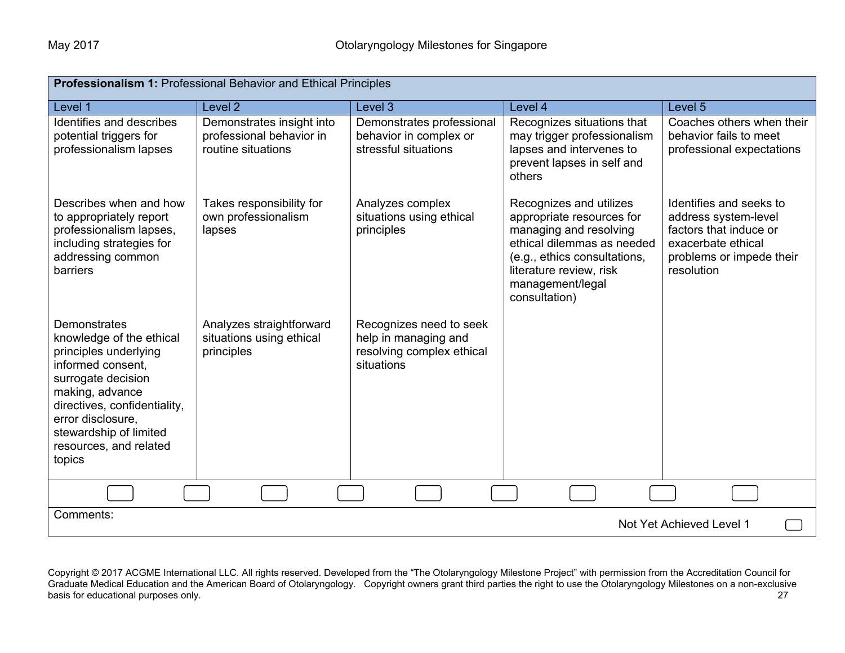| <b>Professionalism 1: Professional Behavior and Ethical Principles</b>                                                                                                                                                                             |                                                                             |                                                                                            |                                                                                                                                                                                                              |                                                                                                                                           |
|----------------------------------------------------------------------------------------------------------------------------------------------------------------------------------------------------------------------------------------------------|-----------------------------------------------------------------------------|--------------------------------------------------------------------------------------------|--------------------------------------------------------------------------------------------------------------------------------------------------------------------------------------------------------------|-------------------------------------------------------------------------------------------------------------------------------------------|
| Level 1                                                                                                                                                                                                                                            | Level <sub>2</sub>                                                          | Level 3                                                                                    | Level 4                                                                                                                                                                                                      | Level 5                                                                                                                                   |
| Identifies and describes<br>potential triggers for<br>professionalism lapses                                                                                                                                                                       | Demonstrates insight into<br>professional behavior in<br>routine situations | Demonstrates professional<br>behavior in complex or<br>stressful situations                | Recognizes situations that<br>may trigger professionalism<br>lapses and intervenes to<br>prevent lapses in self and<br>others                                                                                | Coaches others when their<br>behavior fails to meet<br>professional expectations                                                          |
| Describes when and how<br>to appropriately report<br>professionalism lapses,<br>including strategies for<br>addressing common<br>barriers                                                                                                          | Takes responsibility for<br>own professionalism<br>lapses                   | Analyzes complex<br>situations using ethical<br>principles                                 | Recognizes and utilizes<br>appropriate resources for<br>managing and resolving<br>ethical dilemmas as needed<br>(e.g., ethics consultations,<br>literature review, risk<br>management/legal<br>consultation) | Identifies and seeks to<br>address system-level<br>factors that induce or<br>exacerbate ethical<br>problems or impede their<br>resolution |
| Demonstrates<br>knowledge of the ethical<br>principles underlying<br>informed consent,<br>surrogate decision<br>making, advance<br>directives, confidentiality,<br>error disclosure,<br>stewardship of limited<br>resources, and related<br>topics | Analyzes straightforward<br>situations using ethical<br>principles          | Recognizes need to seek<br>help in managing and<br>resolving complex ethical<br>situations |                                                                                                                                                                                                              |                                                                                                                                           |
|                                                                                                                                                                                                                                                    |                                                                             |                                                                                            |                                                                                                                                                                                                              |                                                                                                                                           |
| Comments:<br>Not Yet Achieved Level 1                                                                                                                                                                                                              |                                                                             |                                                                                            |                                                                                                                                                                                                              |                                                                                                                                           |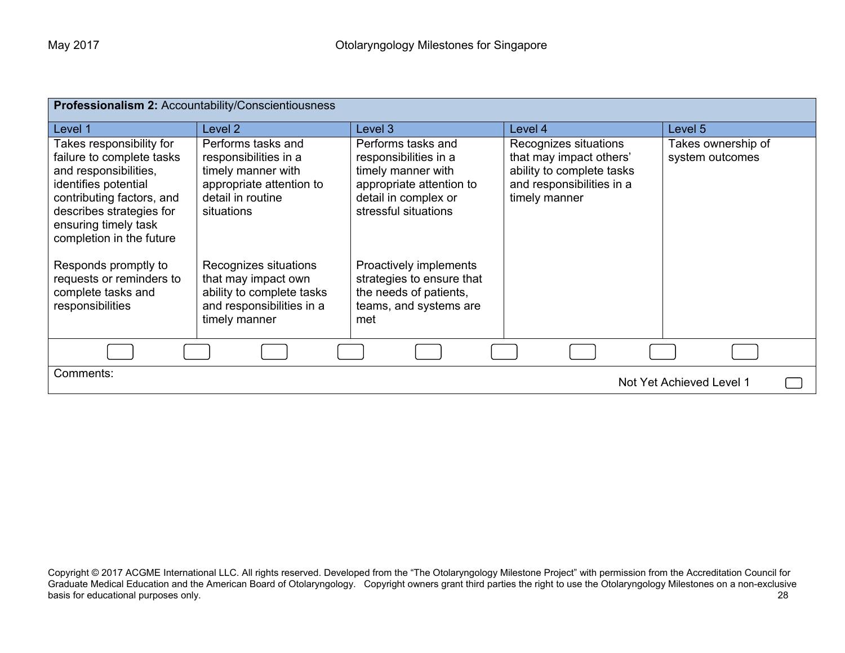| Professionalism 2: Accountability/Conscientiousness                                                                                                                                                                 |                                                                                                                                  |                                                                                                                                               |                                                                                                                             |                                       |
|---------------------------------------------------------------------------------------------------------------------------------------------------------------------------------------------------------------------|----------------------------------------------------------------------------------------------------------------------------------|-----------------------------------------------------------------------------------------------------------------------------------------------|-----------------------------------------------------------------------------------------------------------------------------|---------------------------------------|
| Level 1                                                                                                                                                                                                             | Level 2                                                                                                                          | Level 3                                                                                                                                       | Level 4                                                                                                                     | Level 5                               |
| Takes responsibility for<br>failure to complete tasks<br>and responsibilities,<br>identifies potential<br>contributing factors, and<br>describes strategies for<br>ensuring timely task<br>completion in the future | Performs tasks and<br>responsibilities in a<br>timely manner with<br>appropriate attention to<br>detail in routine<br>situations | Performs tasks and<br>responsibilities in a<br>timely manner with<br>appropriate attention to<br>detail in complex or<br>stressful situations | Recognizes situations<br>that may impact others'<br>ability to complete tasks<br>and responsibilities in a<br>timely manner | Takes ownership of<br>system outcomes |
| Responds promptly to<br>requests or reminders to<br>complete tasks and<br>responsibilities                                                                                                                          | Recognizes situations<br>that may impact own<br>ability to complete tasks<br>and responsibilities in a<br>timely manner          | Proactively implements<br>strategies to ensure that<br>the needs of patients,<br>teams, and systems are<br>met                                |                                                                                                                             |                                       |
|                                                                                                                                                                                                                     |                                                                                                                                  |                                                                                                                                               |                                                                                                                             |                                       |
| Comments:<br>Not Yet Achieved Level 1                                                                                                                                                                               |                                                                                                                                  |                                                                                                                                               |                                                                                                                             |                                       |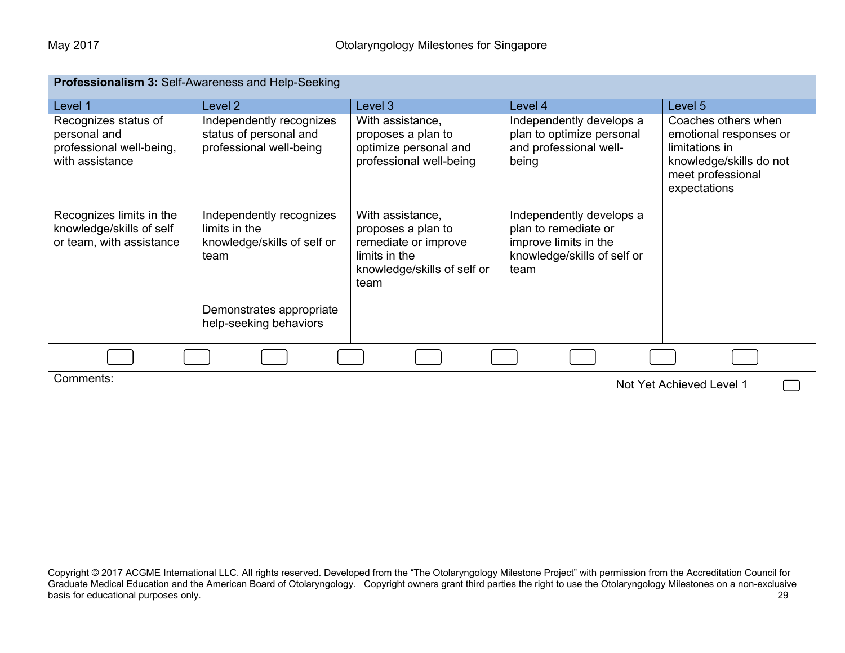| <b>Professionalism 3: Self-Awareness and Help-Seeking</b>                           |                                                                                  |                                                                                                                        |                                                                                                                  |                                                                                                                                 |
|-------------------------------------------------------------------------------------|----------------------------------------------------------------------------------|------------------------------------------------------------------------------------------------------------------------|------------------------------------------------------------------------------------------------------------------|---------------------------------------------------------------------------------------------------------------------------------|
| Level 1                                                                             | Level <sub>2</sub>                                                               | Level 3                                                                                                                | Level 4                                                                                                          | Level 5                                                                                                                         |
| Recognizes status of<br>personal and<br>professional well-being,<br>with assistance | Independently recognizes<br>status of personal and<br>professional well-being    | With assistance,<br>proposes a plan to<br>optimize personal and<br>professional well-being                             | Independently develops a<br>plan to optimize personal<br>and professional well-<br>being                         | Coaches others when<br>emotional responses or<br>limitations in<br>knowledge/skills do not<br>meet professional<br>expectations |
| Recognizes limits in the<br>knowledge/skills of self<br>or team, with assistance    | Independently recognizes<br>limits in the<br>knowledge/skills of self or<br>team | With assistance,<br>proposes a plan to<br>remediate or improve<br>limits in the<br>knowledge/skills of self or<br>team | Independently develops a<br>plan to remediate or<br>improve limits in the<br>knowledge/skills of self or<br>team |                                                                                                                                 |
|                                                                                     | Demonstrates appropriate<br>help-seeking behaviors                               |                                                                                                                        |                                                                                                                  |                                                                                                                                 |
|                                                                                     |                                                                                  |                                                                                                                        |                                                                                                                  |                                                                                                                                 |
| Comments:                                                                           |                                                                                  |                                                                                                                        |                                                                                                                  | Not Yet Achieved Level 1                                                                                                        |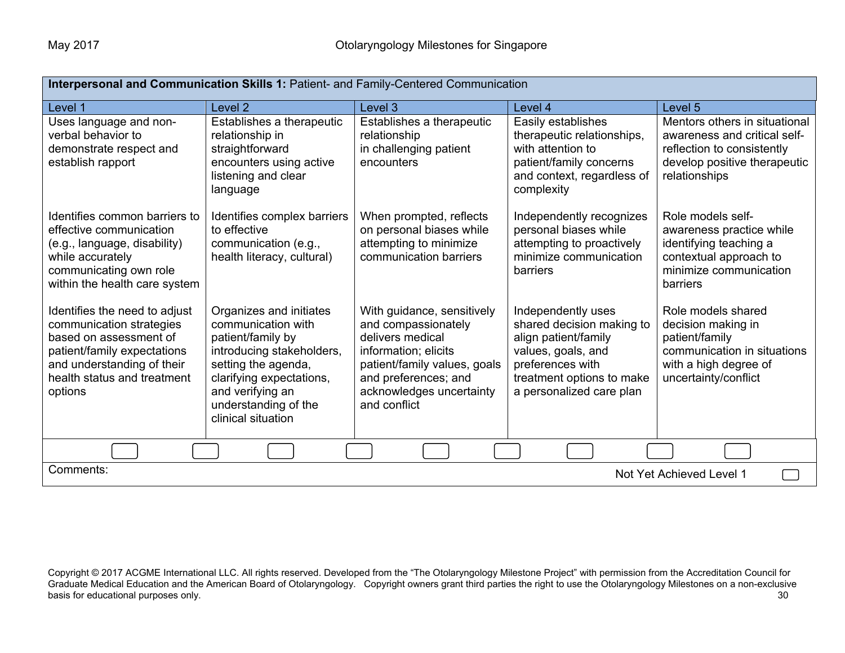| Interpersonal and Communication Skills 1: Patient- and Family-Centered Communication                                                                                                       |                                                                                                                                                                                                                      |                                                                                                                                                                                                   |                                                                                                                                                                            |                                                                                                                                                |
|--------------------------------------------------------------------------------------------------------------------------------------------------------------------------------------------|----------------------------------------------------------------------------------------------------------------------------------------------------------------------------------------------------------------------|---------------------------------------------------------------------------------------------------------------------------------------------------------------------------------------------------|----------------------------------------------------------------------------------------------------------------------------------------------------------------------------|------------------------------------------------------------------------------------------------------------------------------------------------|
| Level 1                                                                                                                                                                                    | Level 2                                                                                                                                                                                                              | Level 3                                                                                                                                                                                           | Level 4                                                                                                                                                                    | Level 5                                                                                                                                        |
| Uses language and non-<br>verbal behavior to<br>demonstrate respect and<br>establish rapport                                                                                               | Establishes a therapeutic<br>relationship in<br>straightforward<br>encounters using active<br>listening and clear<br>language                                                                                        | Establishes a therapeutic<br>relationship<br>in challenging patient<br>encounters                                                                                                                 | Easily establishes<br>therapeutic relationships,<br>with attention to<br>patient/family concerns<br>and context, regardless of<br>complexity                               | Mentors others in situational<br>awareness and critical self-<br>reflection to consistently<br>develop positive therapeutic<br>relationships   |
| Identifies common barriers to<br>effective communication<br>(e.g., language, disability)<br>while accurately<br>communicating own role<br>within the health care system                    | Identifies complex barriers<br>to effective<br>communication (e.g.,<br>health literacy, cultural)                                                                                                                    | When prompted, reflects<br>on personal biases while<br>attempting to minimize<br>communication barriers                                                                                           | Independently recognizes<br>personal biases while<br>attempting to proactively<br>minimize communication<br>barriers                                                       | Role models self-<br>awareness practice while<br>identifying teaching a<br>contextual approach to<br>minimize communication<br><b>barriers</b> |
| Identifies the need to adjust<br>communication strategies<br>based on assessment of<br>patient/family expectations<br>and understanding of their<br>health status and treatment<br>options | Organizes and initiates<br>communication with<br>patient/family by<br>introducing stakeholders,<br>setting the agenda,<br>clarifying expectations,<br>and verifying an<br>understanding of the<br>clinical situation | With guidance, sensitively<br>and compassionately<br>delivers medical<br>information; elicits<br>patient/family values, goals<br>and preferences; and<br>acknowledges uncertainty<br>and conflict | Independently uses<br>shared decision making to<br>align patient/family<br>values, goals, and<br>preferences with<br>treatment options to make<br>a personalized care plan | Role models shared<br>decision making in<br>patient/family<br>communication in situations<br>with a high degree of<br>uncertainty/conflict     |
|                                                                                                                                                                                            |                                                                                                                                                                                                                      |                                                                                                                                                                                                   |                                                                                                                                                                            |                                                                                                                                                |
| Comments:<br>Not Yet Achieved Level 1                                                                                                                                                      |                                                                                                                                                                                                                      |                                                                                                                                                                                                   |                                                                                                                                                                            |                                                                                                                                                |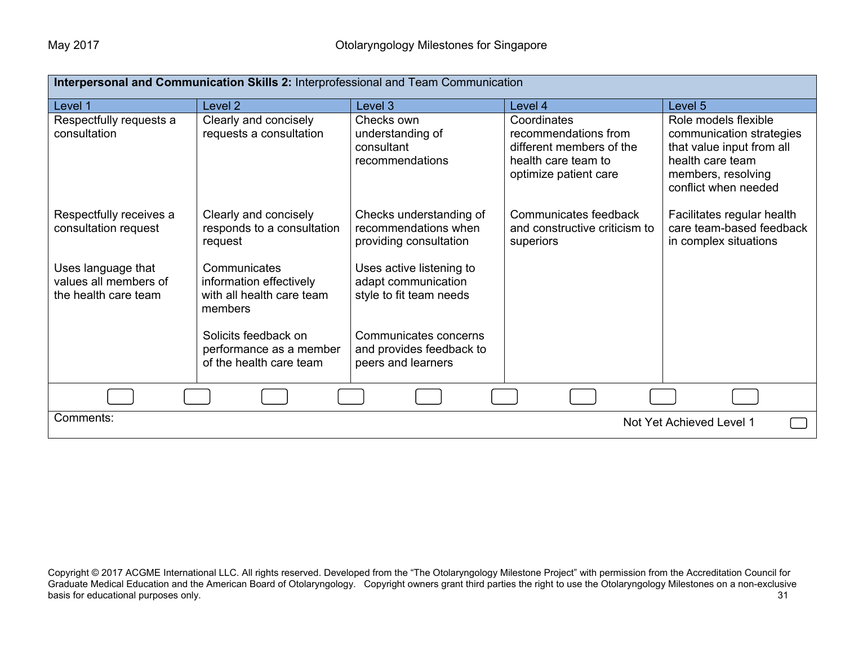| Interpersonal and Communication Skills 2: Interprofessional and Team Communication |                                                                                 |                                                                            |                                                                                                                 |                                                                                                                                                 |
|------------------------------------------------------------------------------------|---------------------------------------------------------------------------------|----------------------------------------------------------------------------|-----------------------------------------------------------------------------------------------------------------|-------------------------------------------------------------------------------------------------------------------------------------------------|
| Level 1                                                                            | Level <sub>2</sub>                                                              | Level 3                                                                    | Level 4                                                                                                         | Level 5                                                                                                                                         |
| Respectfully requests a<br>consultation                                            | Clearly and concisely<br>requests a consultation                                | Checks own<br>understanding of<br>consultant<br>recommendations            | Coordinates<br>recommendations from<br>different members of the<br>health care team to<br>optimize patient care | Role models flexible<br>communication strategies<br>that value input from all<br>health care team<br>members, resolving<br>conflict when needed |
| Respectfully receives a<br>consultation request                                    | Clearly and concisely<br>responds to a consultation<br>request                  | Checks understanding of<br>recommendations when<br>providing consultation  | Communicates feedback<br>and constructive criticism to<br>superiors                                             | Facilitates regular health<br>care team-based feedback<br>in complex situations                                                                 |
| Uses language that<br>values all members of<br>the health care team                | Communicates<br>information effectively<br>with all health care team<br>members | Uses active listening to<br>adapt communication<br>style to fit team needs |                                                                                                                 |                                                                                                                                                 |
|                                                                                    | Solicits feedback on<br>performance as a member<br>of the health care team      | Communicates concerns<br>and provides feedback to<br>peers and learners    |                                                                                                                 |                                                                                                                                                 |
|                                                                                    |                                                                                 |                                                                            |                                                                                                                 |                                                                                                                                                 |
| Comments:<br>Not Yet Achieved Level 1                                              |                                                                                 |                                                                            |                                                                                                                 |                                                                                                                                                 |